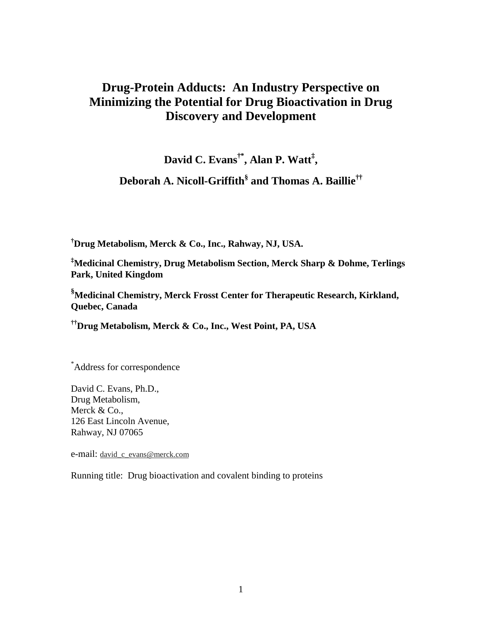# **Drug-Protein Adducts: An Industry Perspective on Minimizing the Potential for Drug Bioactivation in Drug Discovery and Development**

**David C. Evans†\*, Alan P. Watt‡ ,**

**Deborah A. Nicoll-Griffith§ and Thomas A. Baillie††**

**† Drug Metabolism, Merck & Co., Inc., Rahway, NJ, USA.**

**‡ Medicinal Chemistry, Drug Metabolism Section, Merck Sharp & Dohme, Terlings Park, United Kingdom**

**§ Medicinal Chemistry, Merck Frosst Center for Therapeutic Research, Kirkland, Quebec, Canada**

**††Drug Metabolism, Merck & Co., Inc., West Point, PA, USA**

\* Address for correspondence

David C. Evans, Ph.D., Drug Metabolism, Merck & Co., 126 East Lincoln Avenue, Rahway, NJ 07065

e-mail: david\_c\_evans@merck.com

Running title: Drug bioactivation and covalent binding to proteins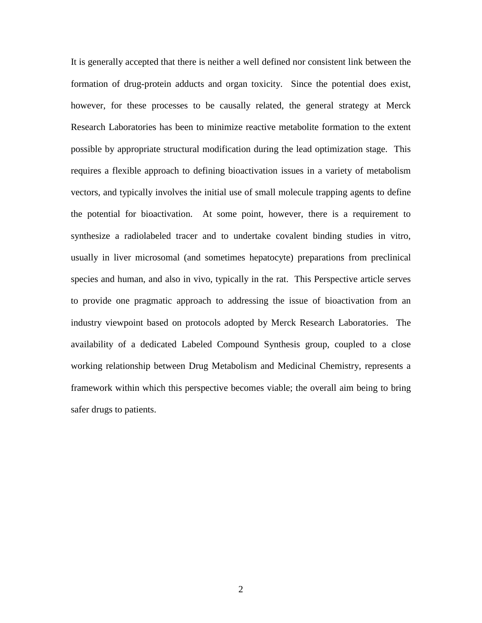It is generally accepted that there is neither a well defined nor consistent link between the formation of drug-protein adducts and organ toxicity. Since the potential does exist, however, for these processes to be causally related, the general strategy at Merck Research Laboratories has been to minimize reactive metabolite formation to the extent possible by appropriate structural modification during the lead optimization stage. This requires a flexible approach to defining bioactivation issues in a variety of metabolism vectors, and typically involves the initial use of small molecule trapping agents to define the potential for bioactivation. At some point, however, there is a requirement to synthesize a radiolabeled tracer and to undertake covalent binding studies in vitro, usually in liver microsomal (and sometimes hepatocyte) preparations from preclinical species and human, and also in vivo, typically in the rat. This Perspective article serves to provide one pragmatic approach to addressing the issue of bioactivation from an industry viewpoint based on protocols adopted by Merck Research Laboratories. The availability of a dedicated Labeled Compound Synthesis group, coupled to a close working relationship between Drug Metabolism and Medicinal Chemistry, represents a framework within which this perspective becomes viable; the overall aim being to bring safer drugs to patients.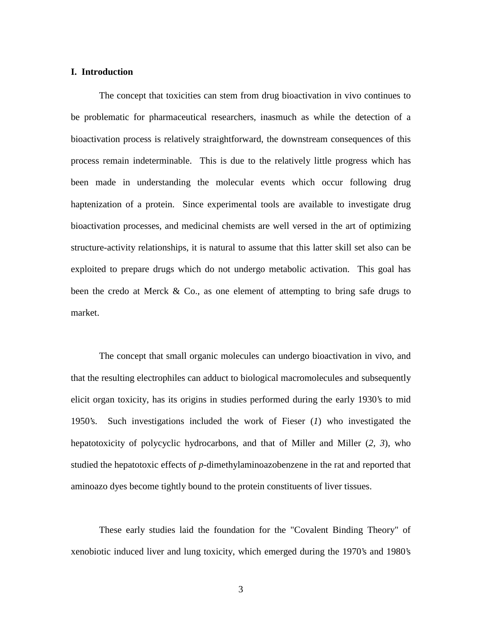# **I. Introduction**

The concept that toxicities can stem from drug bioactivation in vivo continues to be problematic for pharmaceutical researchers, inasmuch as while the detection of a bioactivation process is relatively straightforward, the downstream consequences of this process remain indeterminable. This is due to the relatively little progress which has been made in understanding the molecular events which occur following drug haptenization of a protein. Since experimental tools are available to investigate drug bioactivation processes, and medicinal chemists are well versed in the art of optimizing structure-activity relationships, it is natural to assume that this latter skill set also can be exploited to prepare drugs which do not undergo metabolic activation. This goal has been the credo at Merck  $& Co.,$  as one element of attempting to bring safe drugs to market.

The concept that small organic molecules can undergo bioactivation in vivo, and that the resulting electrophiles can adduct to biological macromolecules and subsequently elicit organ toxicity, has its origins in studies performed during the early 1930's to mid 1950's. Such investigations included the work of Fieser (*1*) who investigated the hepatotoxicity of polycyclic hydrocarbons, and that of Miller and Miller (*2, 3*), who studied the hepatotoxic effects of *p*-dimethylaminoazobenzene in the rat and reported that aminoazo dyes become tightly bound to the protein constituents of liver tissues.

These early studies laid the foundation for the "Covalent Binding Theory" of xenobiotic induced liver and lung toxicity, which emerged during the 1970's and 1980's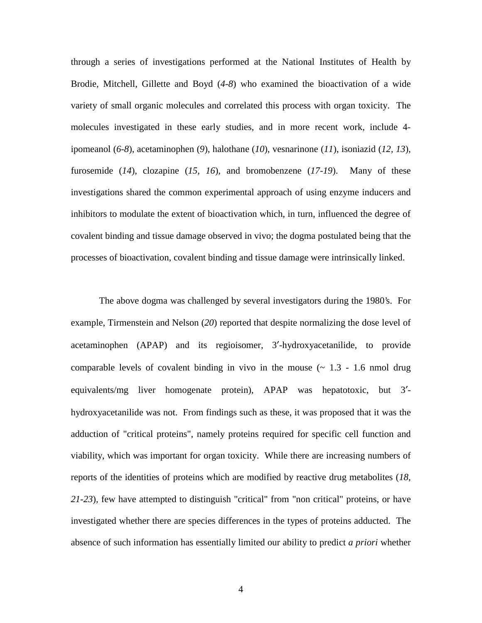through a series of investigations performed at the National Institutes of Health by Brodie, Mitchell, Gillette and Boyd (*4-8*) who examined the bioactivation of a wide variety of small organic molecules and correlated this process with organ toxicity. The molecules investigated in these early studies, and in more recent work, include 4 ipomeanol (*6-8*), acetaminophen (*9*), halothane (*10*), vesnarinone (*11*), isoniazid (*12, 13*), furosemide (*14*), clozapine (*15, 16*), and bromobenzene (*17-19*). Many of these investigations shared the common experimental approach of using enzyme inducers and inhibitors to modulate the extent of bioactivation which, in turn, influenced the degree of covalent binding and tissue damage observed in vivo; the dogma postulated being that the processes of bioactivation, covalent binding and tissue damage were intrinsically linked.

The above dogma was challenged by several investigators during the 1980's. For example, Tirmenstein and Nelson (*20*) reported that despite normalizing the dose level of acetaminophen (APAP) and its regioisomer, 3′-hydroxyacetanilide, to provide comparable levels of covalent binding in vivo in the mouse  $(\sim 1.3 - 1.6 \text{ mmol drug})$ equivalents/mg liver homogenate protein), APAP was hepatotoxic, but 3′ hydroxyacetanilide was not. From findings such as these, it was proposed that it was the adduction of "critical proteins", namely proteins required for specific cell function and viability, which was important for organ toxicity. While there are increasing numbers of reports of the identities of proteins which are modified by reactive drug metabolites (*18, 21-23*), few have attempted to distinguish "critical" from "non critical" proteins, or have investigated whether there are species differences in the types of proteins adducted. The absence of such information has essentially limited our ability to predict *a priori* whether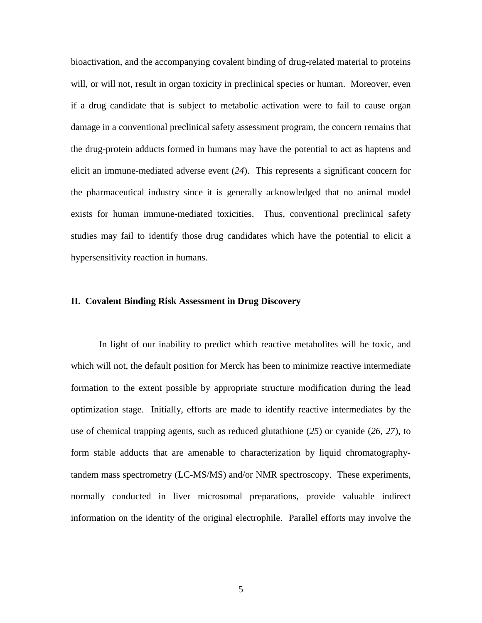bioactivation, and the accompanying covalent binding of drug-related material to proteins will, or will not, result in organ toxicity in preclinical species or human. Moreover, even if a drug candidate that is subject to metabolic activation were to fail to cause organ damage in a conventional preclinical safety assessment program, the concern remains that the drug-protein adducts formed in humans may have the potential to act as haptens and elicit an immune-mediated adverse event (*24*). This represents a significant concern for the pharmaceutical industry since it is generally acknowledged that no animal model exists for human immune-mediated toxicities. Thus, conventional preclinical safety studies may fail to identify those drug candidates which have the potential to elicit a hypersensitivity reaction in humans.

# **II. Covalent Binding Risk Assessment in Drug Discovery**

In light of our inability to predict which reactive metabolites will be toxic, and which will not, the default position for Merck has been to minimize reactive intermediate formation to the extent possible by appropriate structure modification during the lead optimization stage. Initially, efforts are made to identify reactive intermediates by the use of chemical trapping agents, such as reduced glutathione (*25*) or cyanide (*26, 27*), to form stable adducts that are amenable to characterization by liquid chromatographytandem mass spectrometry (LC-MS/MS) and/or NMR spectroscopy. These experiments, normally conducted in liver microsomal preparations, provide valuable indirect information on the identity of the original electrophile. Parallel efforts may involve the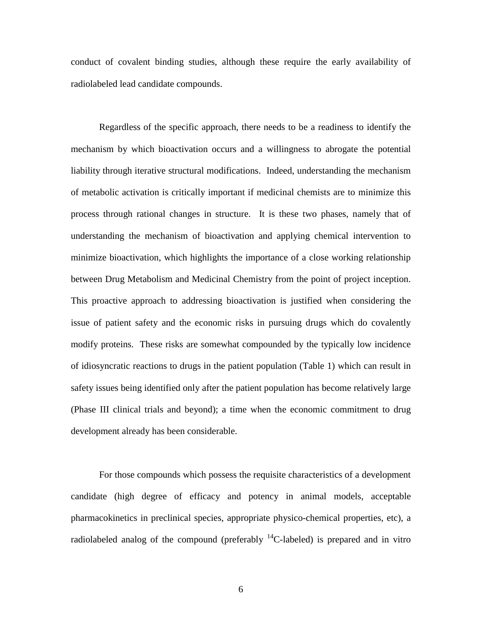conduct of covalent binding studies, although these require the early availability of radiolabeled lead candidate compounds.

Regardless of the specific approach, there needs to be a readiness to identify the mechanism by which bioactivation occurs and a willingness to abrogate the potential liability through iterative structural modifications. Indeed, understanding the mechanism of metabolic activation is critically important if medicinal chemists are to minimize this process through rational changes in structure. It is these two phases, namely that of understanding the mechanism of bioactivation and applying chemical intervention to minimize bioactivation, which highlights the importance of a close working relationship between Drug Metabolism and Medicinal Chemistry from the point of project inception. This proactive approach to addressing bioactivation is justified when considering the issue of patient safety and the economic risks in pursuing drugs which do covalently modify proteins. These risks are somewhat compounded by the typically low incidence of idiosyncratic reactions to drugs in the patient population (Table 1) which can result in safety issues being identified only after the patient population has become relatively large (Phase III clinical trials and beyond); a time when the economic commitment to drug development already has been considerable.

For those compounds which possess the requisite characteristics of a development candidate (high degree of efficacy and potency in animal models, acceptable pharmacokinetics in preclinical species, appropriate physico-chemical properties, etc), a radiolabeled analog of the compound (preferably  $^{14}$ C-labeled) is prepared and in vitro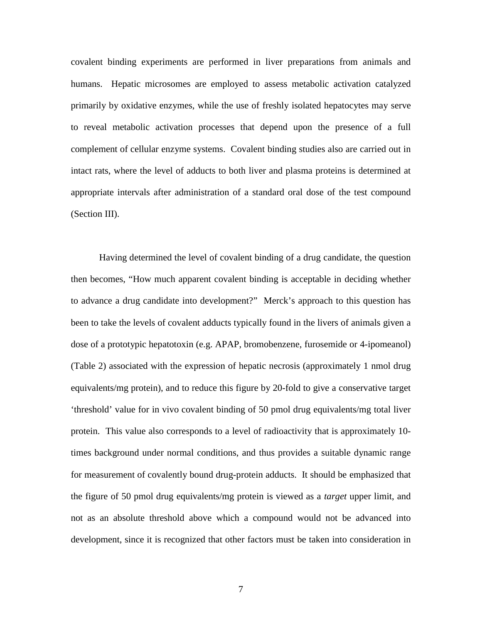covalent binding experiments are performed in liver preparations from animals and humans. Hepatic microsomes are employed to assess metabolic activation catalyzed primarily by oxidative enzymes, while the use of freshly isolated hepatocytes may serve to reveal metabolic activation processes that depend upon the presence of a full complement of cellular enzyme systems. Covalent binding studies also are carried out in intact rats, where the level of adducts to both liver and plasma proteins is determined at appropriate intervals after administration of a standard oral dose of the test compound (Section III).

Having determined the level of covalent binding of a drug candidate, the question then becomes, "How much apparent covalent binding is acceptable in deciding whether to advance a drug candidate into development?" Merck's approach to this question has been to take the levels of covalent adducts typically found in the livers of animals given a dose of a prototypic hepatotoxin (e.g. APAP, bromobenzene, furosemide or 4-ipomeanol) (Table 2) associated with the expression of hepatic necrosis (approximately 1 nmol drug equivalents/mg protein), and to reduce this figure by 20-fold to give a conservative target 'threshold' value for in vivo covalent binding of 50 pmol drug equivalents/mg total liver protein. This value also corresponds to a level of radioactivity that is approximately 10 times background under normal conditions, and thus provides a suitable dynamic range for measurement of covalently bound drug-protein adducts. It should be emphasized that the figure of 50 pmol drug equivalents/mg protein is viewed as a *target* upper limit, and not as an absolute threshold above which a compound would not be advanced into development, since it is recognized that other factors must be taken into consideration in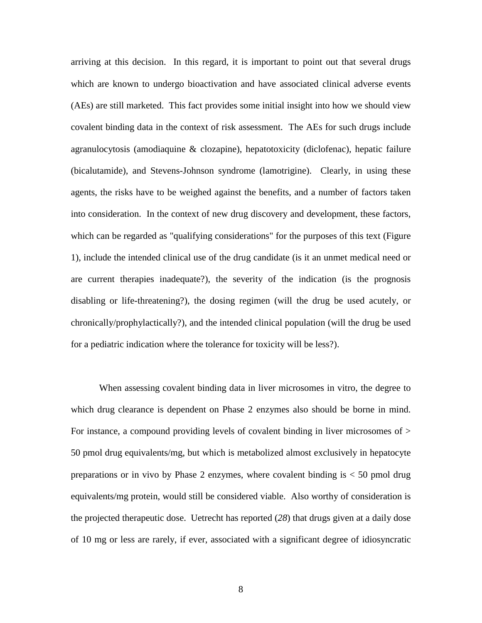arriving at this decision. In this regard, it is important to point out that several drugs which are known to undergo bioactivation and have associated clinical adverse events (AEs) are still marketed. This fact provides some initial insight into how we should view covalent binding data in the context of risk assessment. The AEs for such drugs include agranulocytosis (amodiaquine & clozapine), hepatotoxicity (diclofenac), hepatic failure (bicalutamide), and Stevens-Johnson syndrome (lamotrigine). Clearly, in using these agents, the risks have to be weighed against the benefits, and a number of factors taken into consideration. In the context of new drug discovery and development, these factors, which can be regarded as "qualifying considerations" for the purposes of this text (Figure 1), include the intended clinical use of the drug candidate (is it an unmet medical need or are current therapies inadequate?), the severity of the indication (is the prognosis disabling or life-threatening?), the dosing regimen (will the drug be used acutely, or chronically/prophylactically?), and the intended clinical population (will the drug be used for a pediatric indication where the tolerance for toxicity will be less?).

When assessing covalent binding data in liver microsomes in vitro, the degree to which drug clearance is dependent on Phase 2 enzymes also should be borne in mind. For instance, a compound providing levels of covalent binding in liver microsomes of  $>$ 50 pmol drug equivalents/mg, but which is metabolized almost exclusively in hepatocyte preparations or in vivo by Phase 2 enzymes, where covalent binding is < 50 pmol drug equivalents/mg protein, would still be considered viable. Also worthy of consideration is the projected therapeutic dose. Uetrecht has reported (*28*) that drugs given at a daily dose of 10 mg or less are rarely, if ever, associated with a significant degree of idiosyncratic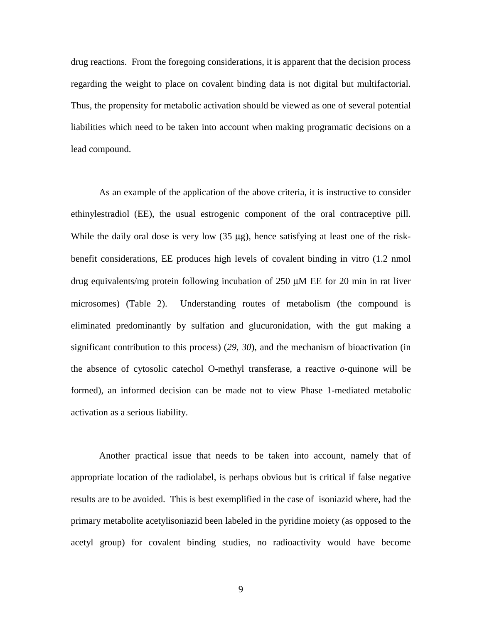drug reactions. From the foregoing considerations, it is apparent that the decision process regarding the weight to place on covalent binding data is not digital but multifactorial. Thus, the propensity for metabolic activation should be viewed as one of several potential liabilities which need to be taken into account when making programatic decisions on a lead compound.

As an example of the application of the above criteria, it is instructive to consider ethinylestradiol (EE), the usual estrogenic component of the oral contraceptive pill. While the daily oral dose is very low  $(35 \mu g)$ , hence satisfying at least one of the riskbenefit considerations, EE produces high levels of covalent binding in vitro (1.2 nmol drug equivalents/mg protein following incubation of 250 µM EE for 20 min in rat liver microsomes) (Table 2). Understanding routes of metabolism (the compound is eliminated predominantly by sulfation and glucuronidation, with the gut making a significant contribution to this process) (*29, 30*), and the mechanism of bioactivation (in the absence of cytosolic catechol O-methyl transferase, a reactive *o*-quinone will be formed), an informed decision can be made not to view Phase 1-mediated metabolic activation as a serious liability.

Another practical issue that needs to be taken into account, namely that of appropriate location of the radiolabel, is perhaps obvious but is critical if false negative results are to be avoided. This is best exemplified in the case of isoniazid where, had the primary metabolite acetylisoniazid been labeled in the pyridine moiety (as opposed to the acetyl group) for covalent binding studies, no radioactivity would have become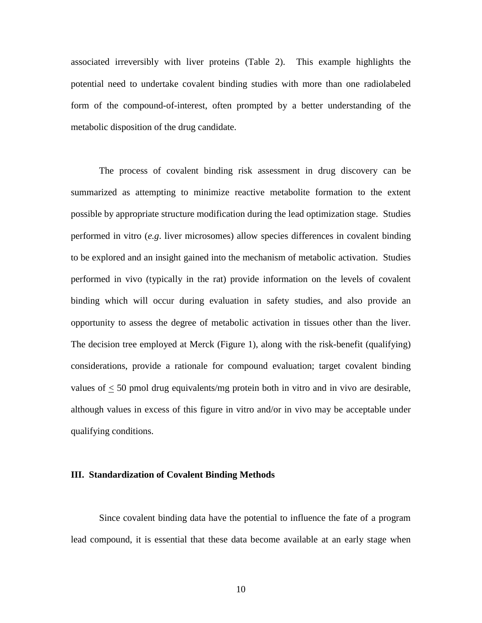associated irreversibly with liver proteins (Table 2). This example highlights the potential need to undertake covalent binding studies with more than one radiolabeled form of the compound-of-interest, often prompted by a better understanding of the metabolic disposition of the drug candidate.

The process of covalent binding risk assessment in drug discovery can be summarized as attempting to minimize reactive metabolite formation to the extent possible by appropriate structure modification during the lead optimization stage. Studies performed in vitro (*e.g*. liver microsomes) allow species differences in covalent binding to be explored and an insight gained into the mechanism of metabolic activation. Studies performed in vivo (typically in the rat) provide information on the levels of covalent binding which will occur during evaluation in safety studies, and also provide an opportunity to assess the degree of metabolic activation in tissues other than the liver. The decision tree employed at Merck (Figure 1), along with the risk-benefit (qualifying) considerations, provide a rationale for compound evaluation; target covalent binding values of < 50 pmol drug equivalents/mg protein both in vitro and in vivo are desirable, although values in excess of this figure in vitro and/or in vivo may be acceptable under qualifying conditions.

# **III. Standardization of Covalent Binding Methods**

Since covalent binding data have the potential to influence the fate of a program lead compound, it is essential that these data become available at an early stage when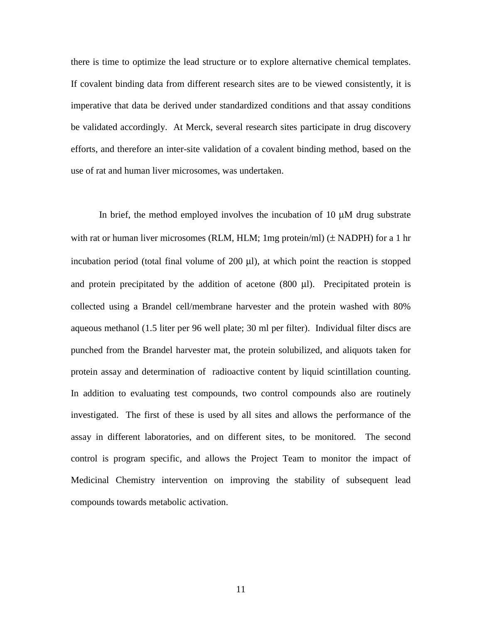there is time to optimize the lead structure or to explore alternative chemical templates. If covalent binding data from different research sites are to be viewed consistently, it is imperative that data be derived under standardized conditions and that assay conditions be validated accordingly. At Merck, several research sites participate in drug discovery efforts, and therefore an inter-site validation of a covalent binding method, based on the use of rat and human liver microsomes, was undertaken.

In brief, the method employed involves the incubation of 10 µM drug substrate with rat or human liver microsomes (RLM, HLM; 1mg protein/ml)  $(\pm$  NADPH) for a 1 hr incubation period (total final volume of  $200 \mu l$ ), at which point the reaction is stopped and protein precipitated by the addition of acetone (800 µl). Precipitated protein is collected using a Brandel cell/membrane harvester and the protein washed with 80% aqueous methanol (1.5 liter per 96 well plate; 30 ml per filter). Individual filter discs are punched from the Brandel harvester mat, the protein solubilized, and aliquots taken for protein assay and determination of radioactive content by liquid scintillation counting. In addition to evaluating test compounds, two control compounds also are routinely investigated. The first of these is used by all sites and allows the performance of the assay in different laboratories, and on different sites, to be monitored. The second control is program specific, and allows the Project Team to monitor the impact of Medicinal Chemistry intervention on improving the stability of subsequent lead compounds towards metabolic activation.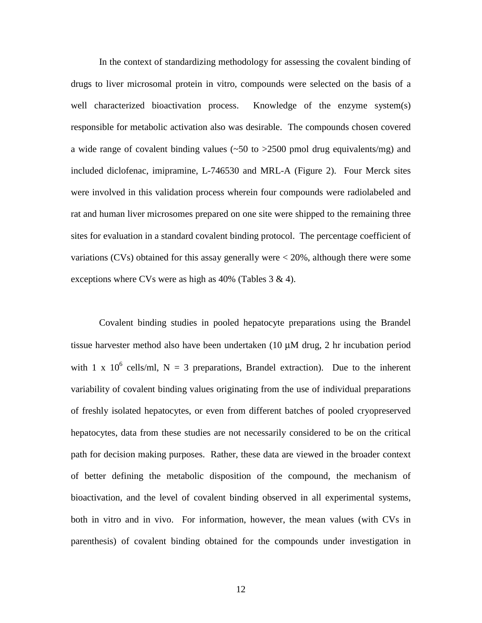In the context of standardizing methodology for assessing the covalent binding of drugs to liver microsomal protein in vitro, compounds were selected on the basis of a well characterized bioactivation process. Knowledge of the enzyme system(s) responsible for metabolic activation also was desirable. The compounds chosen covered a wide range of covalent binding values  $(\sim 50 \text{ to } > 2500 \text{ pmol}$  drug equivalents/mg) and included diclofenac, imipramine, L-746530 and MRL-A (Figure 2). Four Merck sites were involved in this validation process wherein four compounds were radiolabeled and rat and human liver microsomes prepared on one site were shipped to the remaining three sites for evaluation in a standard covalent binding protocol. The percentage coefficient of variations (CVs) obtained for this assay generally were < 20%, although there were some exceptions where CVs were as high as  $40\%$  (Tables 3 & 4).

Covalent binding studies in pooled hepatocyte preparations using the Brandel tissue harvester method also have been undertaken (10 µM drug, 2 hr incubation period with 1 x 10<sup>6</sup> cells/ml, N = 3 preparations, Brandel extraction). Due to the inherent variability of covalent binding values originating from the use of individual preparations of freshly isolated hepatocytes, or even from different batches of pooled cryopreserved hepatocytes, data from these studies are not necessarily considered to be on the critical path for decision making purposes. Rather, these data are viewed in the broader context of better defining the metabolic disposition of the compound, the mechanism of bioactivation, and the level of covalent binding observed in all experimental systems, both in vitro and in vivo. For information, however, the mean values (with CVs in parenthesis) of covalent binding obtained for the compounds under investigation in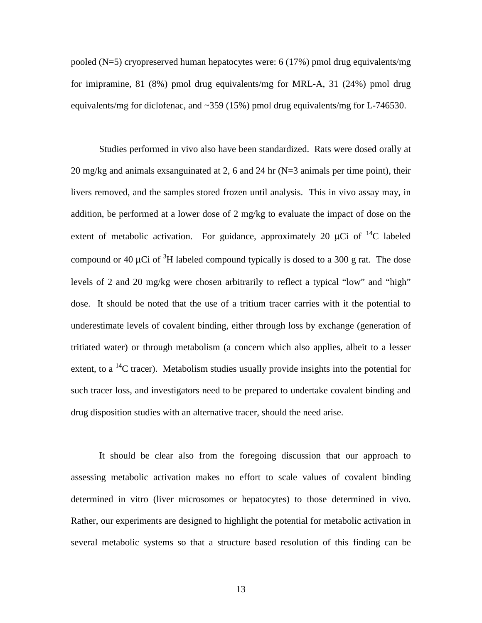pooled (N=5) cryopreserved human hepatocytes were: 6 (17%) pmol drug equivalents/mg for imipramine, 81 (8%) pmol drug equivalents/mg for MRL-A, 31 (24%) pmol drug equivalents/mg for diclofenac, and  $\sim$ 359 (15%) pmol drug equivalents/mg for L-746530.

Studies performed in vivo also have been standardized. Rats were dosed orally at 20 mg/kg and animals exsanguinated at 2, 6 and 24 hr (N=3 animals per time point), their livers removed, and the samples stored frozen until analysis. This in vivo assay may, in addition, be performed at a lower dose of 2 mg/kg to evaluate the impact of dose on the extent of metabolic activation. For guidance, approximately 20  $\mu$ Ci of <sup>14</sup>C labeled compound or 40  $\mu$ Ci of <sup>3</sup>H labeled compound typically is dosed to a 300 g rat. The dose levels of 2 and 20 mg/kg were chosen arbitrarily to reflect a typical "low" and "high" dose. It should be noted that the use of a tritium tracer carries with it the potential to underestimate levels of covalent binding, either through loss by exchange (generation of tritiated water) or through metabolism (a concern which also applies, albeit to a lesser extent, to a <sup>14</sup>C tracer). Metabolism studies usually provide insights into the potential for such tracer loss, and investigators need to be prepared to undertake covalent binding and drug disposition studies with an alternative tracer, should the need arise.

It should be clear also from the foregoing discussion that our approach to assessing metabolic activation makes no effort to scale values of covalent binding determined in vitro (liver microsomes or hepatocytes) to those determined in vivo. Rather, our experiments are designed to highlight the potential for metabolic activation in several metabolic systems so that a structure based resolution of this finding can be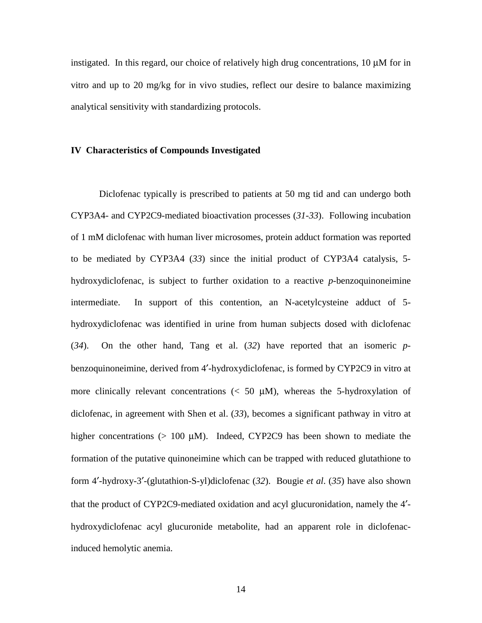instigated. In this regard, our choice of relatively high drug concentrations,  $10 \mu M$  for in vitro and up to 20 mg/kg for in vivo studies, reflect our desire to balance maximizing analytical sensitivity with standardizing protocols.

# **IV Characteristics of Compounds Investigated**

Diclofenac typically is prescribed to patients at 50 mg tid and can undergo both CYP3A4- and CYP2C9-mediated bioactivation processes (*31-33*). Following incubation of 1 mM diclofenac with human liver microsomes, protein adduct formation was reported to be mediated by CYP3A4 (*33*) since the initial product of CYP3A4 catalysis, 5 hydroxydiclofenac, is subject to further oxidation to a reactive *p*-benzoquinoneimine intermediate. In support of this contention, an N-acetylcysteine adduct of 5 hydroxydiclofenac was identified in urine from human subjects dosed with diclofenac (*34*). On the other hand, Tang et al. (*32*) have reported that an isomeric *p*benzoquinoneimine, derived from 4′-hydroxydiclofenac, is formed by CYP2C9 in vitro at more clinically relevant concentrations  $\langle \langle 50 \mu M \rangle$ , whereas the 5-hydroxylation of diclofenac, in agreement with Shen et al. (*33*), becomes a significant pathway in vitro at higher concentrations (> 100 µM). Indeed, CYP2C9 has been shown to mediate the formation of the putative quinoneimine which can be trapped with reduced glutathione to form 4′-hydroxy-3′-(glutathion-S-yl)diclofenac (*32*). Bougie *et al*. (*35*) have also shown that the product of CYP2C9-mediated oxidation and acyl glucuronidation, namely the 4′ hydroxydiclofenac acyl glucuronide metabolite, had an apparent role in diclofenacinduced hemolytic anemia.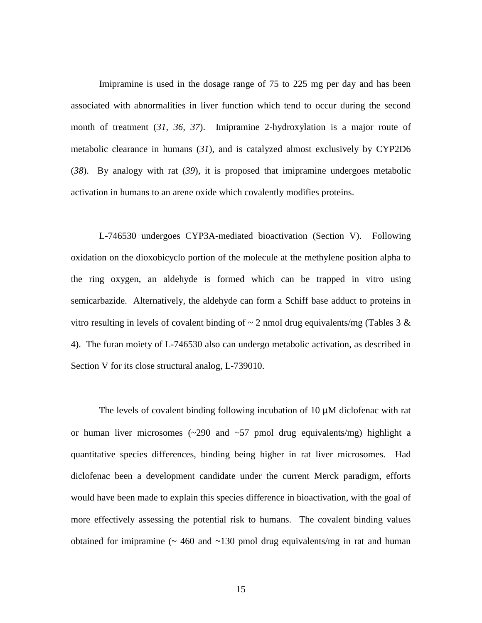Imipramine is used in the dosage range of 75 to 225 mg per day and has been associated with abnormalities in liver function which tend to occur during the second month of treatment (*31, 36, 37*). Imipramine 2-hydroxylation is a major route of metabolic clearance in humans (*31*), and is catalyzed almost exclusively by CYP2D6 (*38*). By analogy with rat (*39*), it is proposed that imipramine undergoes metabolic activation in humans to an arene oxide which covalently modifies proteins.

L-746530 undergoes CYP3A-mediated bioactivation (Section V). Following oxidation on the dioxobicyclo portion of the molecule at the methylene position alpha to the ring oxygen, an aldehyde is formed which can be trapped in vitro using semicarbazide. Alternatively, the aldehyde can form a Schiff base adduct to proteins in vitro resulting in levels of covalent binding of  $\sim$  2 nmol drug equivalents/mg (Tables 3 & 4). The furan moiety of L-746530 also can undergo metabolic activation, as described in Section V for its close structural analog, L-739010.

The levels of covalent binding following incubation of 10 µM diclofenac with rat or human liver microsomes  $\left(\frac{290}{2}\right)$  and  $\left(\frac{57}{2}\right)$  pmol drug equivalents/mg) highlight a quantitative species differences, binding being higher in rat liver microsomes. Had diclofenac been a development candidate under the current Merck paradigm, efforts would have been made to explain this species difference in bioactivation, with the goal of more effectively assessing the potential risk to humans. The covalent binding values obtained for imipramine  $($   $\sim$  460 and  $\sim$  130 pmol drug equivalents/mg in rat and human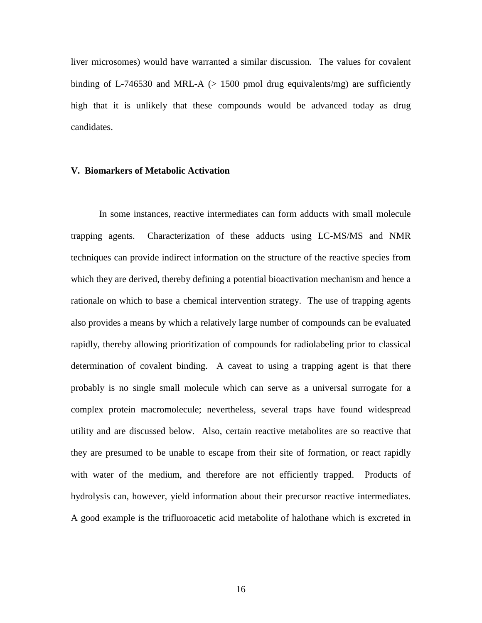liver microsomes) would have warranted a similar discussion. The values for covalent binding of L-746530 and MRL-A  $(> 1500$  pmol drug equivalents/mg) are sufficiently high that it is unlikely that these compounds would be advanced today as drug candidates.

### **V. Biomarkers of Metabolic Activation**

In some instances, reactive intermediates can form adducts with small molecule trapping agents. Characterization of these adducts using LC-MS/MS and NMR techniques can provide indirect information on the structure of the reactive species from which they are derived, thereby defining a potential bioactivation mechanism and hence a rationale on which to base a chemical intervention strategy. The use of trapping agents also provides a means by which a relatively large number of compounds can be evaluated rapidly, thereby allowing prioritization of compounds for radiolabeling prior to classical determination of covalent binding. A caveat to using a trapping agent is that there probably is no single small molecule which can serve as a universal surrogate for a complex protein macromolecule; nevertheless, several traps have found widespread utility and are discussed below. Also, certain reactive metabolites are so reactive that they are presumed to be unable to escape from their site of formation, or react rapidly with water of the medium, and therefore are not efficiently trapped. Products of hydrolysis can, however, yield information about their precursor reactive intermediates. A good example is the trifluoroacetic acid metabolite of halothane which is excreted in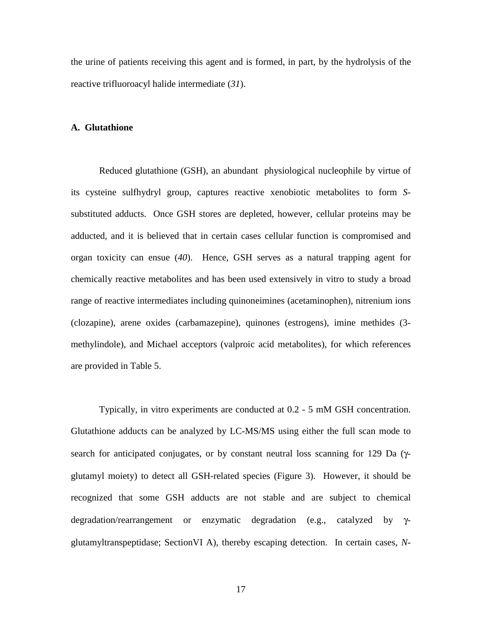the urine of patients receiving this agent and is formed, in part, by the hydrolysis of the reactive trifluoroacyl halide intermediate (*31*).

# **A. Glutathione**

Reduced glutathione (GSH), an abundant physiological nucleophile by virtue of its cysteine sulfhydryl group, captures reactive xenobiotic metabolites to form *S*substituted adducts. Once GSH stores are depleted, however, cellular proteins may be adducted, and it is believed that in certain cases cellular function is compromised and organ toxicity can ensue (*40*). Hence, GSH serves as a natural trapping agent for chemically reactive metabolites and has been used extensively in vitro to study a broad range of reactive intermediates including quinoneimines (acetaminophen), nitrenium ions (clozapine), arene oxides (carbamazepine), quinones (estrogens), imine methides (3 methylindole), and Michael acceptors (valproic acid metabolites), for which references are provided in Table 5.

Typically, in vitro experiments are conducted at 0.2 - 5 mM GSH concentration. Glutathione adducts can be analyzed by LC-MS/MS using either the full scan mode to search for anticipated conjugates, or by constant neutral loss scanning for 129 Da (γglutamyl moiety) to detect all GSH-related species (Figure 3). However, it should be recognized that some GSH adducts are not stable and are subject to chemical degradation/rearrangement or enzymatic degradation (e.g., catalyzed by γglutamyltranspeptidase; SectionVI A), thereby escaping detection. In certain cases, *N*-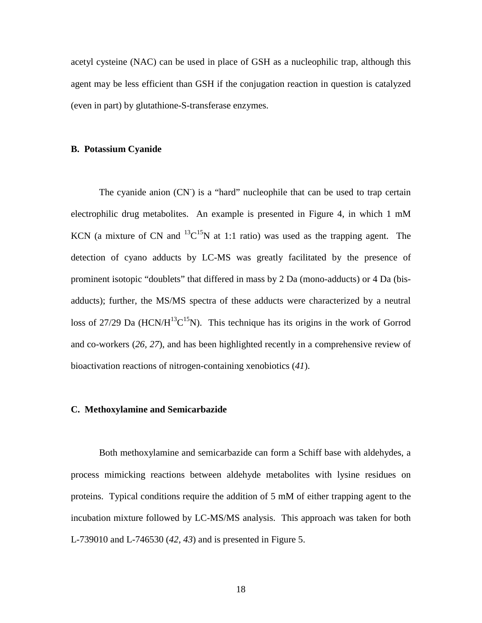acetyl cysteine (NAC) can be used in place of GSH as a nucleophilic trap, although this agent may be less efficient than GSH if the conjugation reaction in question is catalyzed (even in part) by glutathione-S-transferase enzymes.

# **B. Potassium Cyanide**

The cyanide anion (CN<sup>-</sup>) is a "hard" nucleophile that can be used to trap certain electrophilic drug metabolites. An example is presented in Figure 4, in which 1 mM KCN (a mixture of CN and  $^{13}C^{15}N$  at 1:1 ratio) was used as the trapping agent. The detection of cyano adducts by LC-MS was greatly facilitated by the presence of prominent isotopic "doublets" that differed in mass by 2 Da (mono-adducts) or 4 Da (bisadducts); further, the MS/MS spectra of these adducts were characterized by a neutral loss of 27/29 Da (HCN/ $H^{13}C^{15}N$ ). This technique has its origins in the work of Gorrod and co-workers (*26, 27*), and has been highlighted recently in a comprehensive review of bioactivation reactions of nitrogen-containing xenobiotics (*41*).

#### **C. Methoxylamine and Semicarbazide**

Both methoxylamine and semicarbazide can form a Schiff base with aldehydes, a process mimicking reactions between aldehyde metabolites with lysine residues on proteins. Typical conditions require the addition of 5 mM of either trapping agent to the incubation mixture followed by LC-MS/MS analysis. This approach was taken for both L-739010 and L-746530 (*42, 43*) and is presented in Figure 5.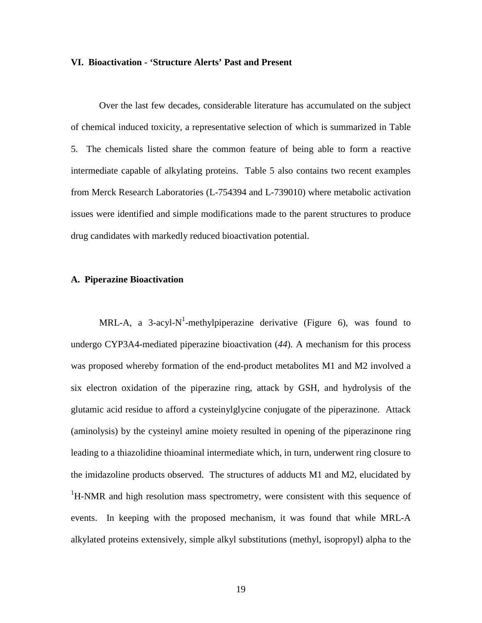#### **VI. Bioactivation - 'Structure Alerts' Past and Present**

Over the last few decades, considerable literature has accumulated on the subject of chemical induced toxicity, a representative selection of which is summarized in Table 5. The chemicals listed share the common feature of being able to form a reactive intermediate capable of alkylating proteins. Table 5 also contains two recent examples from Merck Research Laboratories (L-754394 and L-739010) where metabolic activation issues were identified and simple modifications made to the parent structures to produce drug candidates with markedly reduced bioactivation potential.

# **A. Piperazine Bioactivation**

MRL-A, a 3-acyl-N<sup>1</sup>-methylpiperazine derivative (Figure 6), was found to undergo CYP3A4-mediated piperazine bioactivation (*44*). A mechanism for this process was proposed whereby formation of the end-product metabolites M1 and M2 involved a six electron oxidation of the piperazine ring, attack by GSH, and hydrolysis of the glutamic acid residue to afford a cysteinylglycine conjugate of the piperazinone. Attack (aminolysis) by the cysteinyl amine moiety resulted in opening of the piperazinone ring leading to a thiazolidine thioaminal intermediate which, in turn, underwent ring closure to the imidazoline products observed. The structures of adducts M1 and M2, elucidated by <sup>1</sup>H-NMR and high resolution mass spectrometry, were consistent with this sequence of events. In keeping with the proposed mechanism, it was found that while MRL-A alkylated proteins extensively, simple alkyl substitutions (methyl, isopropyl) alpha to the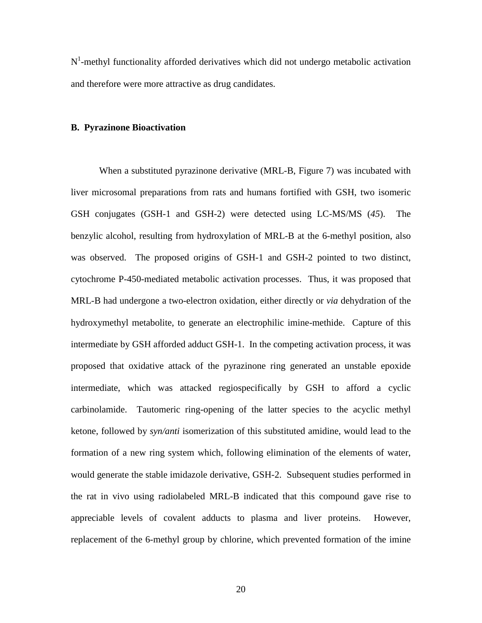$N<sup>1</sup>$ -methyl functionality afforded derivatives which did not undergo metabolic activation and therefore were more attractive as drug candidates.

#### **B. Pyrazinone Bioactivation**

When a substituted pyrazinone derivative (MRL-B, Figure 7) was incubated with liver microsomal preparations from rats and humans fortified with GSH, two isomeric GSH conjugates (GSH-1 and GSH-2) were detected using LC-MS/MS (*45*). The benzylic alcohol, resulting from hydroxylation of MRL-B at the 6-methyl position, also was observed. The proposed origins of GSH-1 and GSH-2 pointed to two distinct, cytochrome P-450-mediated metabolic activation processes. Thus, it was proposed that MRL-B had undergone a two-electron oxidation, either directly or *via* dehydration of the hydroxymethyl metabolite, to generate an electrophilic imine-methide. Capture of this intermediate by GSH afforded adduct GSH-1. In the competing activation process, it was proposed that oxidative attack of the pyrazinone ring generated an unstable epoxide intermediate, which was attacked regiospecifically by GSH to afford a cyclic carbinolamide. Tautomeric ring-opening of the latter species to the acyclic methyl ketone, followed by *syn/anti* isomerization of this substituted amidine, would lead to the formation of a new ring system which, following elimination of the elements of water, would generate the stable imidazole derivative, GSH-2. Subsequent studies performed in the rat in vivo using radiolabeled MRL-B indicated that this compound gave rise to appreciable levels of covalent adducts to plasma and liver proteins. However, replacement of the 6-methyl group by chlorine, which prevented formation of the imine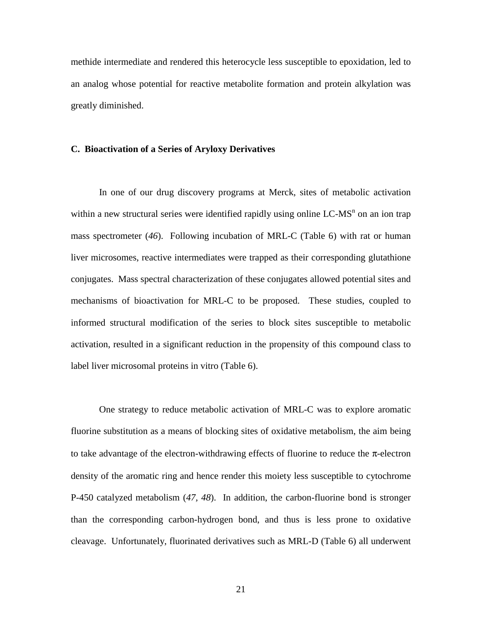methide intermediate and rendered this heterocycle less susceptible to epoxidation, led to an analog whose potential for reactive metabolite formation and protein alkylation was greatly diminished.

# **C. Bioactivation of a Series of Aryloxy Derivatives**

In one of our drug discovery programs at Merck, sites of metabolic activation within a new structural series were identified rapidly using online LC-MS<sup>n</sup> on an ion trap mass spectrometer (*46*). Following incubation of MRL-C (Table 6) with rat or human liver microsomes, reactive intermediates were trapped as their corresponding glutathione conjugates. Mass spectral characterization of these conjugates allowed potential sites and mechanisms of bioactivation for MRL-C to be proposed. These studies, coupled to informed structural modification of the series to block sites susceptible to metabolic activation, resulted in a significant reduction in the propensity of this compound class to label liver microsomal proteins in vitro (Table 6).

One strategy to reduce metabolic activation of MRL-C was to explore aromatic fluorine substitution as a means of blocking sites of oxidative metabolism, the aim being to take advantage of the electron-withdrawing effects of fluorine to reduce the  $\pi$ -electron density of the aromatic ring and hence render this moiety less susceptible to cytochrome P-450 catalyzed metabolism (*47, 48*). In addition, the carbon-fluorine bond is stronger than the corresponding carbon-hydrogen bond, and thus is less prone to oxidative cleavage. Unfortunately, fluorinated derivatives such as MRL-D (Table 6) all underwent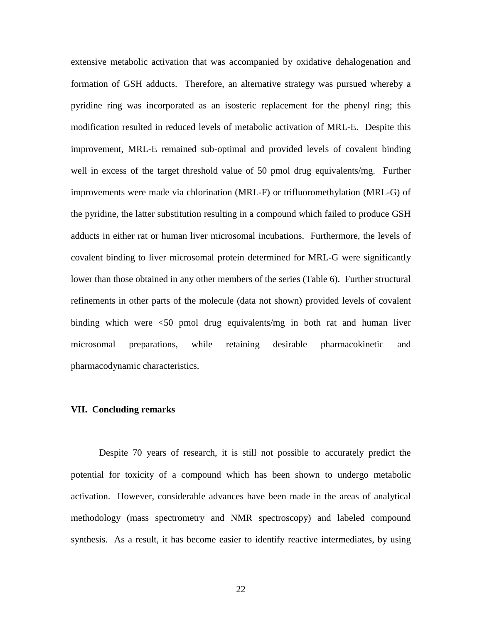extensive metabolic activation that was accompanied by oxidative dehalogenation and formation of GSH adducts. Therefore, an alternative strategy was pursued whereby a pyridine ring was incorporated as an isosteric replacement for the phenyl ring; this modification resulted in reduced levels of metabolic activation of MRL-E. Despite this improvement, MRL-E remained sub-optimal and provided levels of covalent binding well in excess of the target threshold value of 50 pmol drug equivalents/mg. Further improvements were made via chlorination (MRL-F) or trifluoromethylation (MRL-G) of the pyridine, the latter substitution resulting in a compound which failed to produce GSH adducts in either rat or human liver microsomal incubations. Furthermore, the levels of covalent binding to liver microsomal protein determined for MRL-G were significantly lower than those obtained in any other members of the series (Table 6). Further structural refinements in other parts of the molecule (data not shown) provided levels of covalent binding which were <50 pmol drug equivalents/mg in both rat and human liver microsomal preparations, while retaining desirable pharmacokinetic and pharmacodynamic characteristics.

# **VII. Concluding remarks**

Despite 70 years of research, it is still not possible to accurately predict the potential for toxicity of a compound which has been shown to undergo metabolic activation. However, considerable advances have been made in the areas of analytical methodology (mass spectrometry and NMR spectroscopy) and labeled compound synthesis. As a result, it has become easier to identify reactive intermediates, by using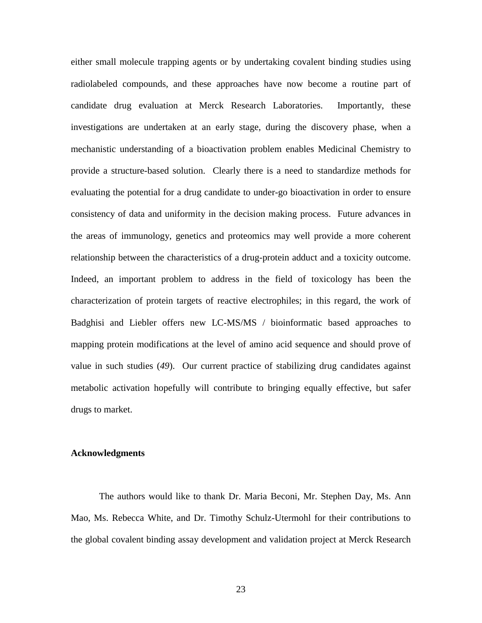either small molecule trapping agents or by undertaking covalent binding studies using radiolabeled compounds, and these approaches have now become a routine part of candidate drug evaluation at Merck Research Laboratories. Importantly, these investigations are undertaken at an early stage, during the discovery phase, when a mechanistic understanding of a bioactivation problem enables Medicinal Chemistry to provide a structure-based solution. Clearly there is a need to standardize methods for evaluating the potential for a drug candidate to under-go bioactivation in order to ensure consistency of data and uniformity in the decision making process. Future advances in the areas of immunology, genetics and proteomics may well provide a more coherent relationship between the characteristics of a drug-protein adduct and a toxicity outcome. Indeed, an important problem to address in the field of toxicology has been the characterization of protein targets of reactive electrophiles; in this regard, the work of Badghisi and Liebler offers new LC-MS/MS / bioinformatic based approaches to mapping protein modifications at the level of amino acid sequence and should prove of value in such studies (*49*). Our current practice of stabilizing drug candidates against metabolic activation hopefully will contribute to bringing equally effective, but safer drugs to market.

# **Acknowledgments**

The authors would like to thank Dr. Maria Beconi, Mr. Stephen Day, Ms. Ann Mao, Ms. Rebecca White, and Dr. Timothy Schulz-Utermohl for their contributions to the global covalent binding assay development and validation project at Merck Research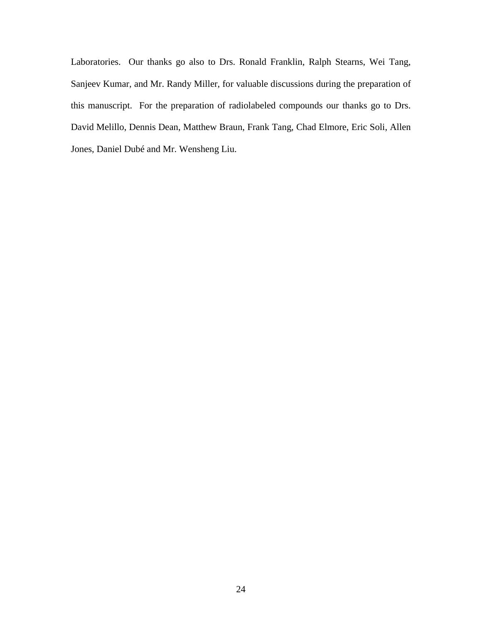Laboratories. Our thanks go also to Drs. Ronald Franklin, Ralph Stearns, Wei Tang, Sanjeev Kumar, and Mr. Randy Miller, for valuable discussions during the preparation of this manuscript. For the preparation of radiolabeled compounds our thanks go to Drs. David Melillo, Dennis Dean, Matthew Braun, Frank Tang, Chad Elmore, Eric Soli, Allen Jones, Daniel Dubé and Mr. Wensheng Liu.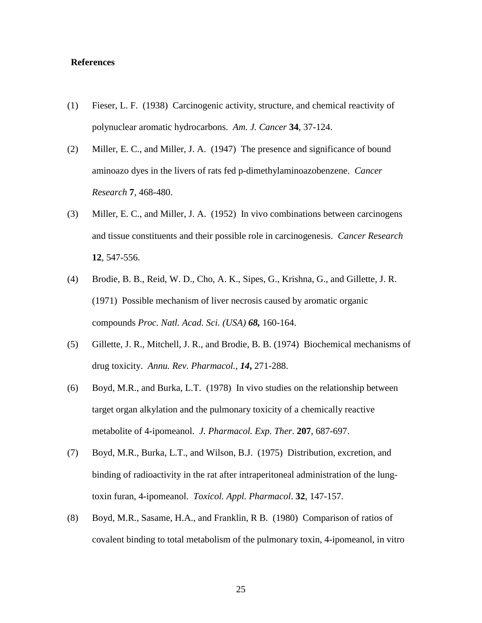# **References**

- (1) Fieser, L. F. (1938) Carcinogenic activity, structure, and chemical reactivity of polynuclear aromatic hydrocarbons. *Am. J. Cancer* **34**, 37-124.
- (2) Miller, E. C., and Miller, J. A. (1947) The presence and significance of bound aminoazo dyes in the livers of rats fed p-dimethylaminoazobenzene. *Cancer Research* **7**, 468-480.
- (3) Miller, E. C., and Miller, J. A. (1952) In vivo combinations between carcinogens and tissue constituents and their possible role in carcinogenesis. *Cancer Research* **12**, 547-556.
- (4) Brodie, B. B., Reid, W. D., Cho, A. K., Sipes, G., Krishna, G., and Gillette, J. R. (1971) Possible mechanism of liver necrosis caused by aromatic organic compounds *Proc. Natl. Acad. Sci. (USA) 68,* 160-164.
- (5) Gillette, J. R., Mitchell, J. R., and Brodie, B. B. (1974) Biochemical mechanisms of drug toxicity. *Annu. Rev. Pharmacol., 14***,** 271-288.
- (6) Boyd, M.R., and Burka, L.T. (1978) In vivo studies on the relationship between target organ alkylation and the pulmonary toxicity of a chemically reactive metabolite of 4-ipomeanol. *J. Pharmacol. Exp. Ther*. **207**, 687-697.
- (7) Boyd, M.R., Burka, L.T., and Wilson, B.J. (1975) Distribution, excretion, and binding of radioactivity in the rat after intraperitoneal administration of the lungtoxin furan, 4-ipomeanol. *Toxicol. Appl. Pharmacol*. **32**, 147-157.
- (8) Boyd, M.R., Sasame, H.A., and Franklin, R B. (1980) Comparison of ratios of covalent binding to total metabolism of the pulmonary toxin, 4-ipomeanol, in vitro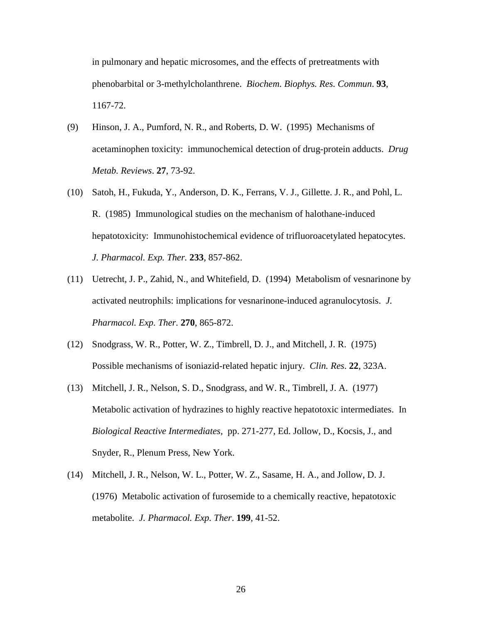in pulmonary and hepatic microsomes, and the effects of pretreatments with phenobarbital or 3-methylcholanthrene. *Biochem. Biophys. Res. Commun*. **93**, 1167-72.

- (9) Hinson, J. A., Pumford, N. R., and Roberts, D. W. (1995) Mechanisms of acetaminophen toxicity: immunochemical detection of drug-protein adducts. *Drug Metab. Reviews*. **27**, 73-92.
- (10) Satoh, H., Fukuda, Y., Anderson, D. K., Ferrans, V. J., Gillette. J. R., and Pohl, L. R. (1985) Immunological studies on the mechanism of halothane-induced hepatotoxicity: Immunohistochemical evidence of trifluoroacetylated hepatocytes. *J. Pharmacol. Exp. Ther.* **233**, 857-862.
- (11) Uetrecht, J. P., Zahid, N., and Whitefield, D. (1994) Metabolism of vesnarinone by activated neutrophils: implications for vesnarinone-induced agranulocytosis. *J. Pharmacol. Exp. Ther.* **270**, 865-872.
- (12) Snodgrass, W. R., Potter, W. Z., Timbrell, D. J., and Mitchell, J. R. (1975) Possible mechanisms of isoniazid-related hepatic injury. *Clin. Res*. **22**, 323A.
- (13) Mitchell, J. R., Nelson, S. D., Snodgrass, and W. R., Timbrell, J. A. (1977) Metabolic activation of hydrazines to highly reactive hepatotoxic intermediates. In *Biological Reactive Intermediates,* pp. 271-277, Ed. Jollow, D., Kocsis, J., and Snyder, R., Plenum Press, New York.
- (14) Mitchell, J. R., Nelson, W. L., Potter, W. Z., Sasame, H. A., and Jollow, D. J. (1976) Metabolic activation of furosemide to a chemically reactive, hepatotoxic metabolite. *J. Pharmacol. Exp. Ther*. **199**, 41-52.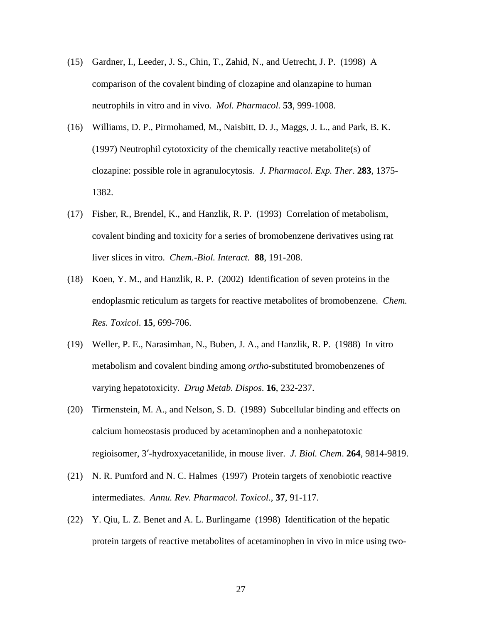- (15) Gardner, I., Leeder, J. S., Chin, T., Zahid, N., and Uetrecht, J. P. (1998) A comparison of the covalent binding of clozapine and olanzapine to human neutrophils in vitro and in vivo*. Mol. Pharmacol.* **53**, 999-1008.
- (16) Williams, D. P., Pirmohamed, M., Naisbitt, D. J., Maggs, J. L., and Park, B. K. (1997) Neutrophil cytotoxicity of the chemically reactive metabolite(s) of clozapine: possible role in agranulocytosis. *J. Pharmacol. Exp. Ther*. **283**, 1375- 1382.
- (17) Fisher, R., Brendel, K., and Hanzlik, R. P. (1993) Correlation of metabolism, covalent binding and toxicity for a series of bromobenzene derivatives using rat liver slices in vitro. *Chem.-Biol. Interact.* **88**, 191-208.
- (18) Koen, Y. M., and Hanzlik, R. P. (2002) Identification of seven proteins in the endoplasmic reticulum as targets for reactive metabolites of bromobenzene. *Chem. Res. Toxicol*. **15**, 699-706.
- (19) Weller, P. E., Narasimhan, N., Buben, J. A., and Hanzlik, R. P. (1988) In vitro metabolism and covalent binding among *ortho*-substituted bromobenzenes of varying hepatotoxicity. *Drug Metab. Dispos*. **16**, 232-237.
- (20) Tirmenstein, M. A., and Nelson, S. D. (1989) Subcellular binding and effects on calcium homeostasis produced by acetaminophen and a nonhepatotoxic regioisomer, 3′-hydroxyacetanilide, in mouse liver. *J. Biol. Chem*. **264**, 9814-9819.
- (21) N. R. Pumford and N. C. Halmes (1997) Protein targets of xenobiotic reactive intermediates. *Annu. Rev. Pharmacol. Toxicol.*, **37**, 91-117.
- (22) Y. Qiu, L. Z. Benet and A. L. Burlingame (1998) Identification of the hepatic protein targets of reactive metabolites of acetaminophen in vivo in mice using two-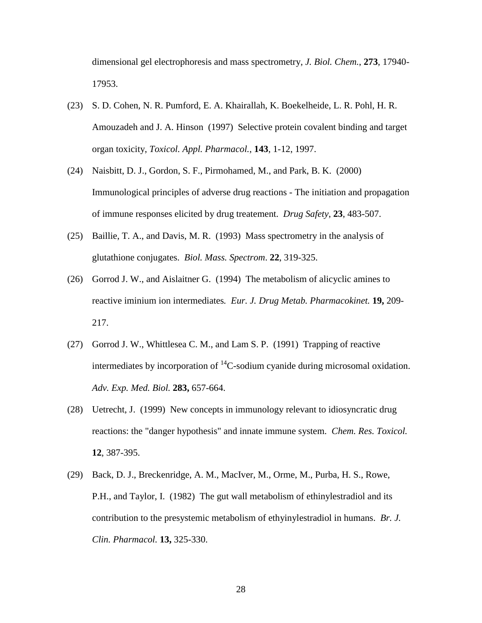dimensional gel electrophoresis and mass spectrometry, *J. Biol. Chem.*, **273**, 17940- 17953.

- (23) S. D. Cohen, N. R. Pumford, E. A. Khairallah, K. Boekelheide, L. R. Pohl, H. R. Amouzadeh and J. A. Hinson (1997) Selective protein covalent binding and target organ toxicity, *Toxicol. Appl. Pharmacol.*, **143**, 1-12, 1997.
- (24) Naisbitt, D. J., Gordon, S. F., Pirmohamed, M., and Park, B. K. (2000) Immunological principles of adverse drug reactions - The initiation and propagation of immune responses elicited by drug treatement. *Drug Safety*, **23**, 483-507.
- (25) Baillie, T. A., and Davis, M. R. (1993) Mass spectrometry in the analysis of glutathione conjugates. *Biol. Mass. Spectrom*. **22**, 319-325.
- (26) Gorrod J. W., and Aislaitner G. (1994) The metabolism of alicyclic amines to reactive iminium ion intermediates*. Eur. J. Drug Metab. Pharmacokinet.* **19,** 209- 217.
- (27) Gorrod J. W., Whittlesea C. M., and Lam S. P. (1991) Trapping of reactive intermediates by incorporation of  ${}^{14}C$ -sodium cyanide during microsomal oxidation. *Adv. Exp. Med. Biol.* **283,** 657-664.
- (28) Uetrecht, J. (1999) New concepts in immunology relevant to idiosyncratic drug reactions: the "danger hypothesis" and innate immune system. *Chem. Res. Toxicol.* **12**, 387-395.
- (29) Back, D. J., Breckenridge, A. M., MacIver, M., Orme, M., Purba, H. S., Rowe, P.H., and Taylor, I. (1982) The gut wall metabolism of ethinylestradiol and its contribution to the presystemic metabolism of ethyinylestradiol in humans. *Br. J. Clin. Pharmacol.* **13,** 325-330.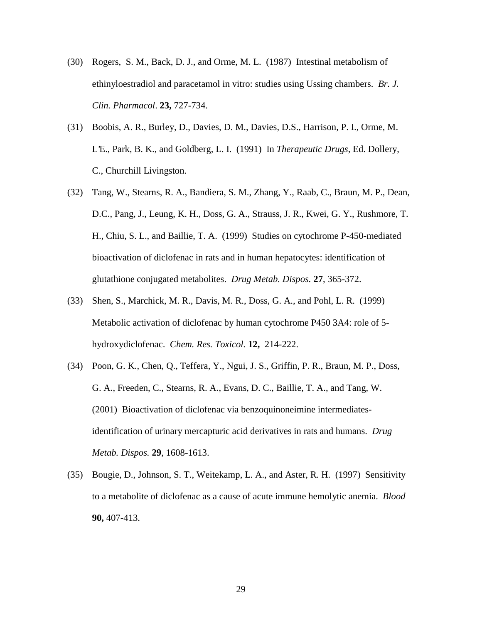- (30) Rogers, S. M., Back, D. J., and Orme, M. L. (1987) Intestinal metabolism of ethinyloestradiol and paracetamol in vitro: studies using Ussing chambers. *Br. J. Clin. Pharmacol*. **23,** 727-734.
- (31) Boobis, A. R., Burley, D., Davies, D. M., Davies, D.S., Harrison, P. I., Orme, M. L'E., Park, B. K., and Goldberg, L. I. (1991) In *Therapeutic Drugs*, Ed. Dollery, C., Churchill Livingston.
- (32) Tang, W., Stearns, R. A., Bandiera, S. M., Zhang, Y., Raab, C., Braun, M. P., Dean, D.C., Pang, J., Leung, K. H., Doss, G. A., Strauss, J. R., Kwei, G. Y., Rushmore, T. H., Chiu, S. L., and Baillie, T. A. (1999) Studies on cytochrome P-450-mediated bioactivation of diclofenac in rats and in human hepatocytes: identification of glutathione conjugated metabolites. *Drug Metab. Dispos.* **27**, 365-372.
- (33) Shen, S., Marchick, M. R., Davis, M. R., Doss, G. A., and Pohl, L. R. (1999) Metabolic activation of diclofenac by human cytochrome P450 3A4: role of 5 hydroxydiclofenac. *Chem. Res. Toxicol.* **12,** 214-222.
- (34) Poon, G. K., Chen, Q., Teffera, Y., Ngui, J. S., Griffin, P. R., Braun, M. P., Doss, G. A., Freeden, C., Stearns, R. A., Evans, D. C., Baillie, T. A., and Tang, W. (2001) Bioactivation of diclofenac via benzoquinoneimine intermediatesidentification of urinary mercapturic acid derivatives in rats and humans. *Drug Metab. Dispos.* **29**, 1608-1613.
- (35) Bougie, D., Johnson, S. T., Weitekamp, L. A., and Aster, R. H. (1997) Sensitivity to a metabolite of diclofenac as a cause of acute immune hemolytic anemia. *Blood* **90,** 407-413.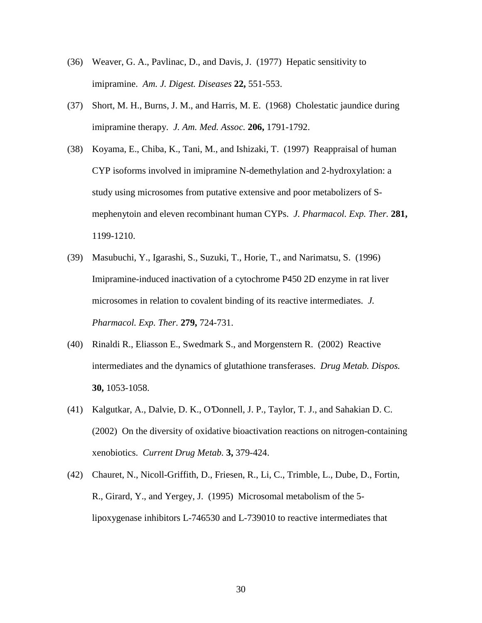- (36) Weaver, G. A., Pavlinac, D., and Davis, J. (1977) Hepatic sensitivity to imipramine. *Am. J. Digest. Diseases* **22,** 551-553.
- (37) Short, M. H., Burns, J. M., and Harris, M. E. (1968) Cholestatic jaundice during imipramine therapy. *J. Am. Med. Assoc.* **206,** 1791-1792.
- (38) Koyama, E., Chiba, K., Tani, M., and Ishizaki, T. (1997) Reappraisal of human CYP isoforms involved in imipramine N-demethylation and 2-hydroxylation: a study using microsomes from putative extensive and poor metabolizers of Smephenytoin and eleven recombinant human CYPs. *J. Pharmacol. Exp. Ther.* **281,** 1199-1210.
- (39) Masubuchi, Y., Igarashi, S., Suzuki, T., Horie, T., and Narimatsu, S. (1996) Imipramine-induced inactivation of a cytochrome P450 2D enzyme in rat liver microsomes in relation to covalent binding of its reactive intermediates. *J. Pharmacol. Exp. Ther.* **279,** 724-731.
- (40) Rinaldi R., Eliasson E., Swedmark S., and Morgenstern R. (2002) Reactive intermediates and the dynamics of glutathione transferases. *Drug Metab. Dispos.* **30,** 1053-1058.
- (41) Kalgutkar, A., Dalvie, D. K., O'Donnell, J. P., Taylor, T. J., and Sahakian D. C. (2002) On the diversity of oxidative bioactivation reactions on nitrogen-containing xenobiotics. *Current Drug Metab.* **3,** 379-424.
- (42) Chauret, N., Nicoll-Griffith, D., Friesen, R., Li, C., Trimble, L., Dube, D., Fortin, R., Girard, Y., and Yergey, J. (1995) Microsomal metabolism of the 5 lipoxygenase inhibitors L-746530 and L-739010 to reactive intermediates that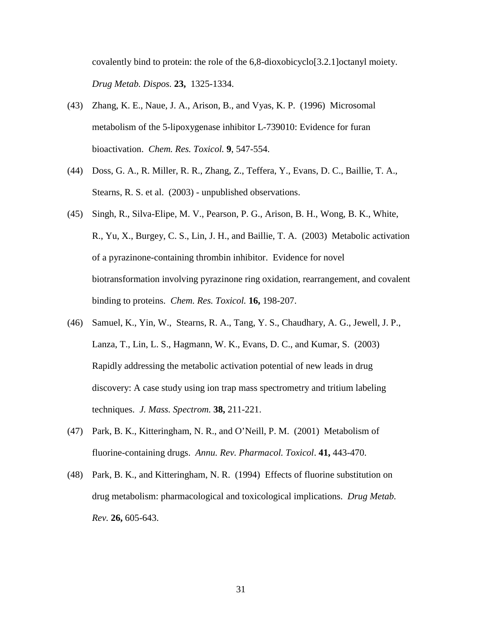covalently bind to protein: the role of the 6,8-dioxobicyclo[3.2.1]octanyl moiety. *Drug Metab. Dispos.* **23,** 1325-1334.

- (43) Zhang, K. E., Naue, J. A., Arison, B., and Vyas, K. P. (1996) Microsomal metabolism of the 5-lipoxygenase inhibitor L-739010: Evidence for furan bioactivation. *Chem. Res. Toxicol.* **9**, 547-554.
- (44) Doss, G. A., R. Miller, R. R., Zhang, Z., Teffera, Y., Evans, D. C., Baillie, T. A., Stearns, R. S. et al. (2003) - unpublished observations.
- (45) Singh, R., Silva-Elipe, M. V., Pearson, P. G., Arison, B. H., Wong, B. K., White, R., Yu, X., Burgey, C. S., Lin, J. H., and Baillie, T. A. (2003) Metabolic activation of a pyrazinone-containing thrombin inhibitor. Evidence for novel biotransformation involving pyrazinone ring oxidation, rearrangement, and covalent binding to proteins. *Chem. Res. Toxicol.* **16,** 198-207.
- (46) Samuel, K., Yin, W., Stearns, R. A., Tang, Y. S., Chaudhary, A. G., Jewell, J. P., Lanza, T., Lin, L. S., Hagmann, W. K., Evans, D. C., and Kumar, S. (2003) Rapidly addressing the metabolic activation potential of new leads in drug discovery: A case study using ion trap mass spectrometry and tritium labeling techniques. *J. Mass. Spectrom.* **38,** 211-221.
- (47) Park, B. K., Kitteringham, N. R., and O'Neill, P. M. (2001) Metabolism of fluorine-containing drugs. *Annu. Rev. Pharmacol. Toxicol*. **41,** 443-470.
- (48) Park, B. K., and Kitteringham, N. R. (1994) Effects of fluorine substitution on drug metabolism: pharmacological and toxicological implications. *Drug Metab. Rev.* **26,** 605-643.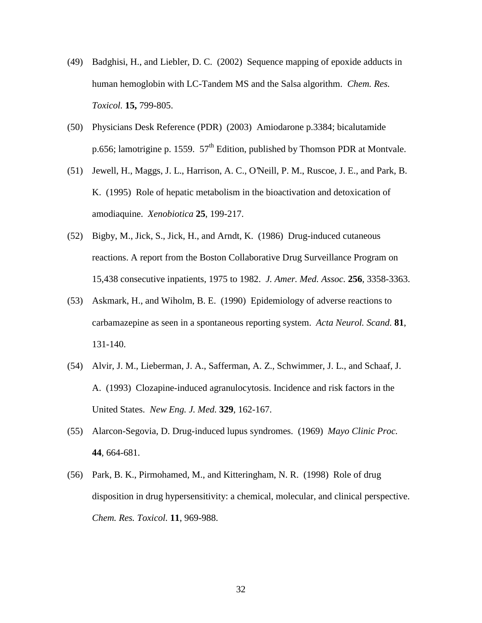- (49) Badghisi, H., and Liebler, D. C. (2002) Sequence mapping of epoxide adducts in human hemoglobin with LC-Tandem MS and the Salsa algorithm. *Chem. Res. Toxicol.* **15,** 799-805.
- (50) Physicians Desk Reference (PDR) (2003) Amiodarone p.3384; bicalutamide p.656; lamotrigine p. 1559.  $57<sup>th</sup>$  Edition, published by Thomson PDR at Montvale.
- (51) Jewell, H., Maggs, J. L., Harrison, A. C., O'Neill, P. M., Ruscoe, J. E., and Park, B. K. (1995) Role of hepatic metabolism in the bioactivation and detoxication of amodiaquine. *Xenobiotica* **25**, 199-217.
- (52) Bigby, M., Jick, S., Jick, H., and Arndt, K. (1986) Drug-induced cutaneous reactions. A report from the Boston Collaborative Drug Surveillance Program on 15,438 consecutive inpatients, 1975 to 1982. *J. Amer. Med. Assoc.* **256**, 3358-3363.
- (53) Askmark, H., and Wiholm, B. E. (1990) Epidemiology of adverse reactions to carbamazepine as seen in a spontaneous reporting system. *Acta Neurol. Scand.* **81**, 131-140.
- (54) Alvir, J. M., Lieberman, J. A., Safferman, A. Z., Schwimmer, J. L., and Schaaf, J. A. (1993) Clozapine-induced agranulocytosis. Incidence and risk factors in the United States. *New Eng. J. Med.* **329**, 162-167.
- (55) Alarcon-Segovia, D. Drug-induced lupus syndromes. (1969) *Mayo Clinic Proc.* **44**, 664-681.
- (56) Park, B. K., Pirmohamed, M., and Kitteringham, N. R. (1998) Role of drug disposition in drug hypersensitivity: a chemical, molecular, and clinical perspective. *Chem. Res. Toxicol.* **11**, 969-988.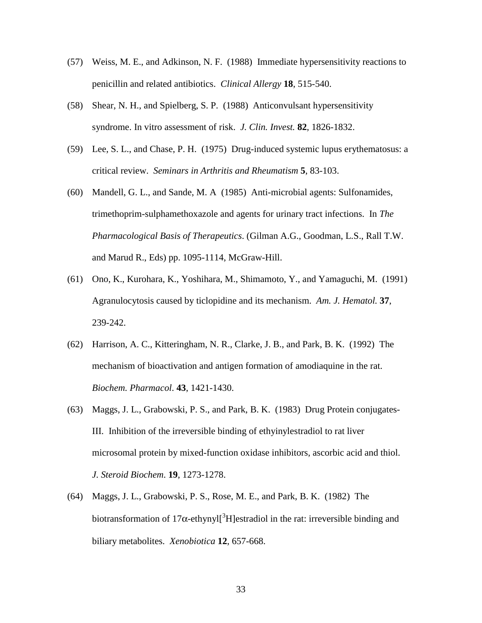- (57) Weiss, M. E., and Adkinson, N. F. (1988) Immediate hypersensitivity reactions to penicillin and related antibiotics. *Clinical Allergy* **18**, 515-540.
- (58) Shear, N. H., and Spielberg, S. P. (1988) Anticonvulsant hypersensitivity syndrome. In vitro assessment of risk. *J. Clin. Invest.* **82**, 1826-1832.
- (59) Lee, S. L., and Chase, P. H. (1975) Drug-induced systemic lupus erythematosus: a critical review. *Seminars in Arthritis and Rheumatism* **5**, 83-103.
- (60) Mandell, G. L., and Sande, M. A (1985) Anti-microbial agents: Sulfonamides, trimethoprim-sulphamethoxazole and agents for urinary tract infections. In *The Pharmacological Basis of Therapeutics*. (Gilman A.G., Goodman, L.S., Rall T.W. and Marud R., Eds) pp. 1095-1114, McGraw-Hill.
- (61) Ono, K., Kurohara, K., Yoshihara, M., Shimamoto, Y., and Yamaguchi, M. (1991) Agranulocytosis caused by ticlopidine and its mechanism. *Am. J. Hematol.* **37**, 239-242.
- (62) Harrison, A. C., Kitteringham, N. R., Clarke, J. B., and Park, B. K. (1992) The mechanism of bioactivation and antigen formation of amodiaquine in the rat. *Biochem. Pharmacol*. **43**, 1421-1430.
- (63) Maggs, J. L., Grabowski, P. S., and Park, B. K. (1983) Drug Protein conjugates-III. Inhibition of the irreversible binding of ethyinylestradiol to rat liver microsomal protein by mixed-function oxidase inhibitors, ascorbic acid and thiol. *J. Steroid Biochem*. **19**, 1273-1278.
- (64) Maggs, J. L., Grabowski, P. S., Rose, M. E., and Park, B. K. (1982) The biotransformation of 17 $\alpha$ -ethynyl<sup>[3</sup>H]estradiol in the rat: irreversible binding and biliary metabolites. *Xenobiotica* **12**, 657-668.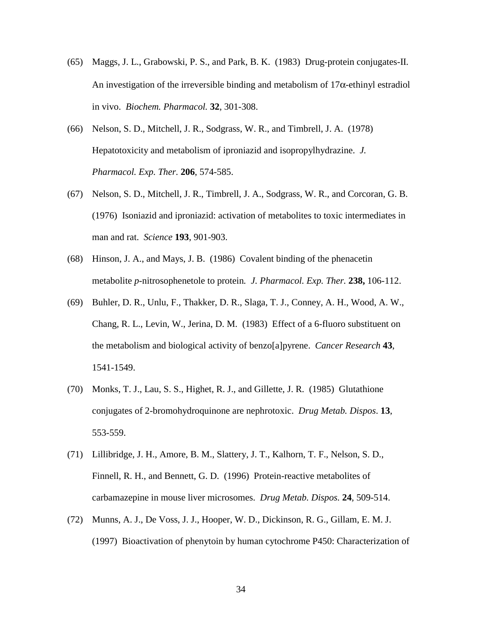- (65) Maggs, J. L., Grabowski, P. S., and Park, B. K. (1983) Drug-protein conjugates-II. An investigation of the irreversible binding and metabolism of  $17\alpha$ -ethinyl estradiol in vivo. *Biochem. Pharmacol.* **32**, 301-308.
- (66) Nelson, S. D., Mitchell, J. R., Sodgrass, W. R., and Timbrell, J. A. (1978) Hepatotoxicity and metabolism of iproniazid and isopropylhydrazine. *J. Pharmacol. Exp. Ther.* **206**, 574-585.
- (67) Nelson, S. D., Mitchell, J. R., Timbrell, J. A., Sodgrass, W. R., and Corcoran, G. B. (1976) Isoniazid and iproniazid: activation of metabolites to toxic intermediates in man and rat. *Science* **193**, 901-903.
- (68) Hinson, J. A., and Mays, J. B. (1986) Covalent binding of the phenacetin metabolite *p*-nitrosophenetole to protein*. J. Pharmacol. Exp. Ther.* **238,** 106-112.
- (69) Buhler, D. R., Unlu, F., Thakker, D. R., Slaga, T. J., Conney, A. H., Wood, A. W., Chang, R. L., Levin, W., Jerina, D. M. (1983) Effect of a 6-fluoro substituent on the metabolism and biological activity of benzo[a]pyrene. *Cancer Research* **43**, 1541-1549.
- (70) Monks, T. J., Lau, S. S., Highet, R. J., and Gillette, J. R. (1985) Glutathione conjugates of 2-bromohydroquinone are nephrotoxic. *Drug Metab. Dispos*. **13**, 553-559.
- (71) Lillibridge, J. H., Amore, B. M., Slattery, J. T., Kalhorn, T. F., Nelson, S. D., Finnell, R. H., and Bennett, G. D. (1996)Protein-reactive metabolites of carbamazepine in mouse liver microsomes. *Drug Metab. Dispos.* **24**, 509-514.
- (72) Munns, A. J., De Voss, J. J., Hooper, W. D., Dickinson, R. G., Gillam, E. M. J. (1997) Bioactivation of phenytoin by human cytochrome P450: Characterization of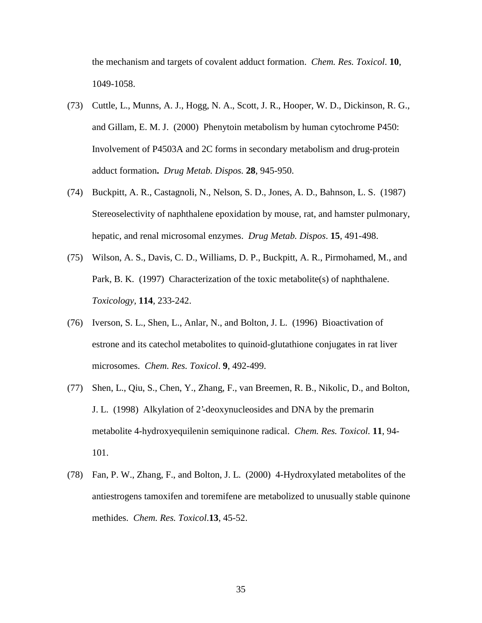the mechanism and targets of covalent adduct formation. *Chem. Res. Toxicol*. **10**, 1049-1058.

- (73) Cuttle, L., Munns, A. J., Hogg, N. A., Scott, J. R., Hooper, W. D., Dickinson, R. G., and Gillam, E. M. J. (2000) Phenytoin metabolism by human cytochrome P450: Involvement of P4503A and 2C forms in secondary metabolism and drug-protein adduct formation**.** *Drug Metab. Dispos.* **28**, 945-950.
- (74) Buckpitt, A. R., Castagnoli, N., Nelson, S. D., Jones, A. D., Bahnson, L. S. (1987) Stereoselectivity of naphthalene epoxidation by mouse, rat, and hamster pulmonary, hepatic, and renal microsomal enzymes. *Drug Metab. Dispos*. **15**, 491-498.
- (75) Wilson, A. S., Davis, C. D., Williams, D. P., Buckpitt, A. R., Pirmohamed, M., and Park, B. K. (1997) Characterization of the toxic metabolite(s) of naphthalene. *Toxicology,* **114**, 233-242.
- (76) Iverson, S. L., Shen, L., Anlar, N., and Bolton, J. L. (1996) Bioactivation of estrone and its catechol metabolites to quinoid-glutathione conjugates in rat liver microsomes. *Chem. Res. Toxicol*. **9**, 492-499.
- (77) Shen, L., Qiu, S., Chen, Y., Zhang, F., van Breemen, R. B., Nikolic, D., and Bolton, J. L. (1998) Alkylation of 2'-deoxynucleosides and DNA by the premarin metabolite 4-hydroxyequilenin semiquinone radical. *Chem. Res. Toxicol.* **11**, 94- 101.
- (78) Fan, P. W., Zhang, F., and Bolton, J. L. (2000) 4-Hydroxylated metabolites of the antiestrogens tamoxifen and toremifene are metabolized to unusually stable quinone methides. *Chem. Res. Toxicol*.**13**, 45-52.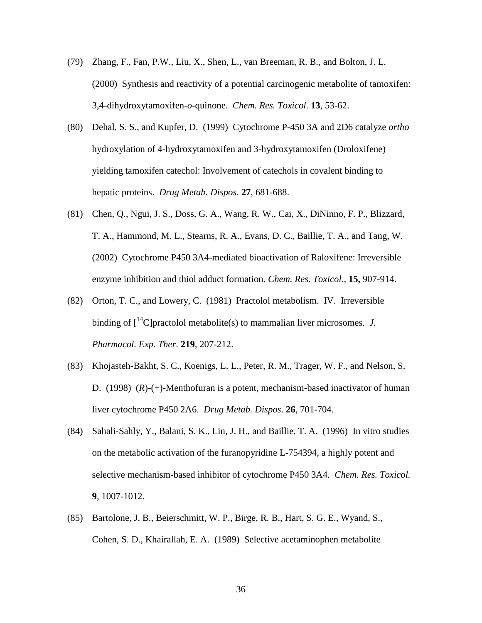- (79) Zhang, F., Fan, P.W., Liu, X., Shen, L., van Breeman, R. B., and Bolton, J. L. (2000) Synthesis and reactivity of a potential carcinogenic metabolite of tamoxifen: 3,4-dihydroxytamoxifen-*o*-quinone. *Chem. Res. Toxicol*. **13**, 53-62.
- (80) Dehal, S. S., and Kupfer, D. (1999) Cytochrome P-450 3A and 2D6 catalyze *ortho* hydroxylation of 4-hydroxytamoxifen and 3-hydroxytamoxifen (Droloxifene) yielding tamoxifen catechol: Involvement of catechols in covalent binding to hepatic proteins. *Drug Metab. Dispos*. **27**, 681-688.
- (81) Chen, Q., Ngui, J. S., Doss, G. A., Wang, R. W., Cai, X., DiNinno, F. P., Blizzard, T. A., Hammond, M. L., Stearns, R. A., Evans, D. C., Baillie, T. A., and Tang, W. (2002) Cytochrome P450 3A4-mediated bioactivation of Raloxifene: Irreversible enzyme inhibition and thiol adduct formation. *Chem. Res. Toxicol.*, **15,** 907-914.
- (82) Orton, T. C., and Lowery, C. (1981) Practolol metabolism. IV. Irreversible binding of  $\int_1^{14}$ C | practolol metabolite(s) to mammalian liver microsomes. *J. Pharmacol. Exp. Ther*. **219**, 207-212.
- (83) Khojasteh-Bakht, S. C., Koenigs, L. L., Peter, R. M., Trager, W. F., and Nelson, S. D. (1998)(*R*)-(+)-Menthofuran is a potent, mechanism-based inactivator of human liver cytochrome P450 2A6. *Drug Metab. Dispos*. **26**, 701-704.
- (84) Sahali-Sahly, Y., Balani, S. K., Lin, J. H., and Baillie, T. A. (1996) In vitro studies on the metabolic activation of the furanopyridine L-754394, a highly potent and selective mechanism-based inhibitor of cytochrome P450 3A4. *Chem. Res. Toxicol.* **9**, 1007-1012.
- (85) Bartolone, J. B., Beierschmitt, W. P., Birge, R. B., Hart, S. G. E., Wyand, S., Cohen, S. D., Khairallah, E. A. (1989) Selective acetaminophen metabolite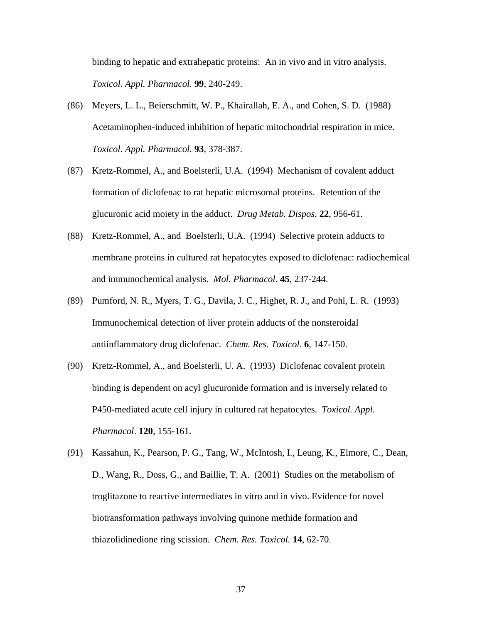binding to hepatic and extrahepatic proteins: An in vivo and in vitro analysis. *Toxicol. Appl. Pharmacol.* **99**, 240-249.

- (86) Meyers, L. L., Beierschmitt, W. P., Khairallah, E. A., and Cohen, S. D. (1988) Acetaminophen-induced inhibition of hepatic mitochondrial respiration in mice. *Toxicol. Appl. Pharmacol.* **93**, 378-387.
- (87) Kretz-Rommel, A., and Boelsterli, U.A. (1994) Mechanism of covalent adduct formation of diclofenac to rat hepatic microsomal proteins. Retention of the glucuronic acid moiety in the adduct. *Drug Metab. Dispos*. **22**, 956-61.
- (88) Kretz-Rommel, A., and Boelsterli, U.A. (1994) Selective protein adducts to membrane proteins in cultured rat hepatocytes exposed to diclofenac: radiochemical and immunochemical analysis. *Mol. Pharmacol*. **45**, 237-244.
- (89) Pumford, N. R., Myers, T. G., Davila, J. C., Highet, R. J., and Pohl, L. R. (1993) Immunochemical detection of liver protein adducts of the nonsteroidal antiinflammatory drug diclofenac. *Chem. Res. Toxicol*. **6**, 147-150.
- (90) Kretz-Rommel, A., and Boelsterli, U. A. (1993) Diclofenac covalent protein binding is dependent on acyl glucuronide formation and is inversely related to P450-mediated acute cell injury in cultured rat hepatocytes. *Toxicol. Appl. Pharmacol*. **120**, 155-161.
- (91) Kassahun, K., Pearson, P. G., Tang, W., McIntosh, I., Leung, K., Elmore, C., Dean, D., Wang, R., Doss, G., and Baillie, T. A. (2001) Studies on the metabolism of troglitazone to reactive intermediates in vitro and in vivo. Evidence for novel biotransformation pathways involving quinone methide formation and thiazolidinedione ring scission. *Chem. Res. Toxicol.* **14**, 62-70.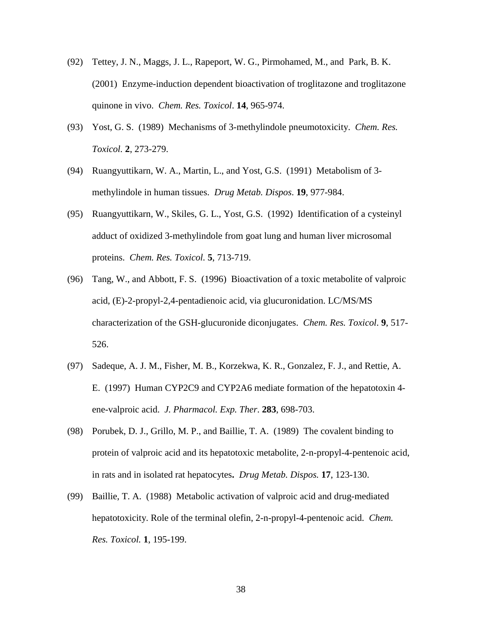- (92) Tettey, J. N., Maggs, J. L., Rapeport, W. G., Pirmohamed, M., and Park, B. K. (2001) Enzyme-induction dependent bioactivation of troglitazone and troglitazone quinone in vivo. *Chem. Res. Toxicol*. **14**, 965-974.
- (93) Yost, G. S. (1989) Mechanisms of 3-methylindole pneumotoxicity. *Chem. Res. Toxicol.* **2**, 273-279.
- (94) Ruangyuttikarn, W. A., Martin, L., and Yost, G.S. (1991) Metabolism of 3 methylindole in human tissues. *Drug Metab. Dispos*. **19**, 977-984.
- (95) Ruangyuttikarn, W., Skiles, G. L., Yost, G.S. (1992) Identification of a cysteinyl adduct of oxidized 3-methylindole from goat lung and human liver microsomal proteins. *Chem. Res. Toxicol.* **5**, 713-719.
- (96) Tang, W., and Abbott, F. S. (1996) Bioactivation of a toxic metabolite of valproic acid, (E)-2-propyl-2,4-pentadienoic acid, via glucuronidation. LC/MS/MS characterization of the GSH-glucuronide diconjugates. *Chem. Res. Toxicol*. **9**, 517- 526.
- (97) Sadeque, A. J. M., Fisher, M. B., Korzekwa, K. R., Gonzalez, F. J., and Rettie, A. E. (1997) Human CYP2C9 and CYP2A6 mediate formation of the hepatotoxin 4 ene-valproic acid. *J. Pharmacol. Exp. Ther*. **283**, 698-703.
- (98) Porubek, D. J., Grillo, M. P., and Baillie, T. A. (1989) The covalent binding to protein of valproic acid and its hepatotoxic metabolite, 2-n-propyl-4-pentenoic acid, in rats and in isolated rat hepatocytes**.** *Drug Metab. Dispos.* **17**, 123-130.
- (99) Baillie, T. A. (1988) Metabolic activation of valproic acid and drug-mediated hepatotoxicity. Role of the terminal olefin, 2-n-propyl-4-pentenoic acid. *Chem. Res. Toxicol.* **1**, 195-199.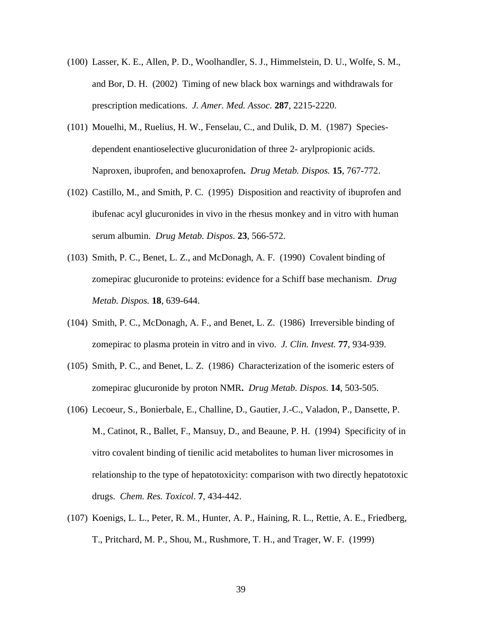- (100) Lasser, K. E., Allen, P. D., Woolhandler, S. J., Himmelstein, D. U., Wolfe, S. M., and Bor, D. H. (2002) Timing of new black box warnings and withdrawals for prescription medications. *J. Amer. Med. Assoc.* **287**, 2215-2220.
- (101) Mouelhi, M., Ruelius, H. W., Fenselau, C., and Dulik, D. M. (1987) Speciesdependent enantioselective glucuronidation of three 2- arylpropionic acids. Naproxen, ibuprofen, and benoxaprofen**.** *Drug Metab. Dispos.* **15**, 767-772.
- (102) Castillo, M., and Smith, P. C. (1995) Disposition and reactivity of ibuprofen and ibufenac acyl glucuronides in vivo in the rhesus monkey and in vitro with human serum albumin. *Drug Metab. Dispos.* **23**, 566-572.
- (103) Smith, P. C., Benet, L. Z., and McDonagh, A. F. (1990) Covalent binding of zomepirac glucuronide to proteins: evidence for a Schiff base mechanism. *Drug Metab. Dispos.* **18**, 639-644.
- (104) Smith, P. C., McDonagh, A. F., and Benet, L. Z. (1986) Irreversible binding of zomepirac to plasma protein in vitro and in vivo. *J. Clin. Invest.* **77**, 934-939.
- (105) Smith, P. C., and Benet, L. Z. (1986) Characterization of the isomeric esters of zomepirac glucuronide by proton NMR**.** *Drug Metab. Dispos*. **14**, 503-505.
- (106) Lecoeur, S., Bonierbale, E., Challine, D., Gautier, J.-C., Valadon, P., Dansette, P. M., Catinot, R., Ballet, F., Mansuy, D., and Beaune, P. H. (1994) Specificity of in vitro covalent binding of tienilic acid metabolites to human liver microsomes in relationship to the type of hepatotoxicity: comparison with two directly hepatotoxic drugs. *Chem. Res. Toxicol*. **7**, 434-442.
- (107) Koenigs, L. L., Peter, R. M., Hunter, A. P., Haining, R. L., Rettie, A. E., Friedberg, T., Pritchard, M. P., Shou, M., Rushmore, T. H., and Trager, W. F. (1999)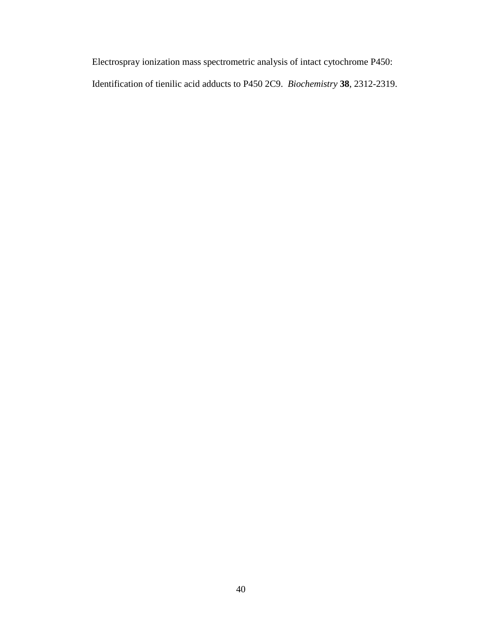Electrospray ionization mass spectrometric analysis of intact cytochrome P450: Identification of tienilic acid adducts to P450 2C9. *Biochemistry* **38**, 2312-2319.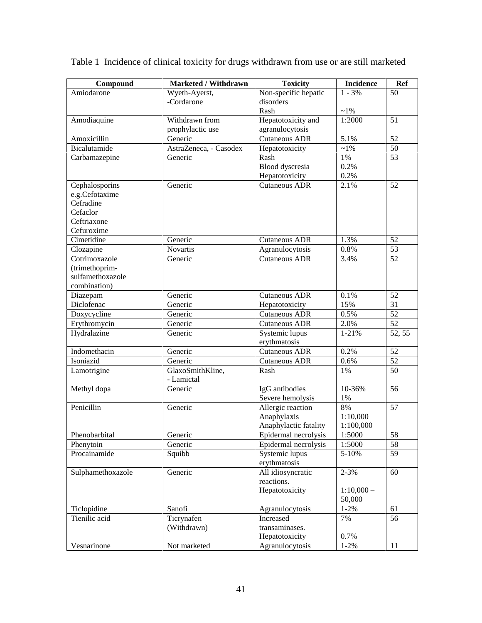| Compound          | <b>Marketed / Withdrawn</b>    | <b>Toxicity</b>       | <b>Incidence</b> | Ref    |
|-------------------|--------------------------------|-----------------------|------------------|--------|
| Amiodarone        | Wyeth-Ayerst,                  | Non-specific hepatic  | $1 - 3\%$        | 50     |
|                   | -Cordarone                     | disorders             |                  |        |
|                   |                                | Rash                  | $~1\%$           |        |
| Amodiaquine       | Withdrawn from                 | Hepatotoxicity and    | 1:2000           | 51     |
|                   | prophylactic use               | agranulocytosis       |                  |        |
| Amoxicillin       | Generic                        | <b>Cutaneous ADR</b>  | 5.1%             | 52     |
| Bicalutamide      | AstraZeneca, - Casodex         | Hepatotoxicity        | $\sim$ 1%        | 50     |
| Carbamazepine     | Generic                        | Rash                  | 1%               | 53     |
|                   |                                | Blood dyscresia       | 0.2%             |        |
|                   |                                | Hepatotoxicity        | 0.2%             |        |
| Cephalosporins    | Generic                        | <b>Cutaneous ADR</b>  | 2.1%             | 52     |
| e.g.Cefotaxime    |                                |                       |                  |        |
| Cefradine         |                                |                       |                  |        |
| Cefaclor          |                                |                       |                  |        |
| Ceftriaxone       |                                |                       |                  |        |
| Cefuroxime        |                                |                       |                  |        |
| Cimetidine        | Generic                        | <b>Cutaneous ADR</b>  | 1.3%             | 52     |
| Clozapine         | <b>Novartis</b>                | Agranulocytosis       | $0.8\%$          | 53     |
| Cotrimoxazole     | Generic                        | <b>Cutaneous ADR</b>  | 3.4%             | 52     |
| (trimethoprim-    |                                |                       |                  |        |
| sulfamethoxazole  |                                |                       |                  |        |
| combination)      |                                |                       |                  |        |
| Diazepam          | Generic                        | Cutaneous ADR         | 0.1%             | 52     |
| Diclofenac        | Generic                        | Hepatotoxicity        | 15%              | 31     |
| Doxycycline       | Generic                        | Cutaneous ADR         | 0.5%             | 52     |
| Erythromycin      | Generic                        | Cutaneous ADR         | 2.0%             | 52     |
| Hydralazine       | Generic                        | Systemic lupus        | 1-21%            | 52, 55 |
|                   |                                | erythmatosis          |                  |        |
| Indomethacin      | Generic                        | <b>Cutaneous ADR</b>  | 0.2%             | 52     |
| Isoniazid         | Generic                        | <b>Cutaneous ADR</b>  | 0.6%             | 52     |
| Lamotrigine       | GlaxoSmithKline,<br>- Lamictal | Rash                  | 1%               | 50     |
| Methyl dopa       | Generic                        | IgG antibodies        | 10-36%           | 56     |
|                   |                                | Severe hemolysis      | $1\%$            |        |
| Penicillin        | Generic                        | Allergic reaction     | 8%               | 57     |
|                   |                                | Anaphylaxis           | 1:10,000         |        |
|                   |                                | Anaphylactic fatality | 1:100,000        |        |
| Phenobarbital     | Generic                        | Epidermal necrolysis  | 1:5000           | 58     |
| Phenytoin         | Generic                        | Epidermal necrolysis  | 1:5000           | 58     |
| Procainamide      | Squibb                         | Systemic lupus        | 5-10%            | 59     |
|                   |                                | erythmatosis          |                  |        |
| Sulphamethoxazole | Generic                        | All idiosyncratic     | $2 - 3%$         | 60     |
|                   |                                | reactions.            |                  |        |
|                   |                                | Hepatotoxicity        | $1:10,000-$      |        |
|                   |                                |                       | 50,000           |        |
| Ticlopidine       | Sanofi                         | Agranulocytosis       | $1 - 2%$         | 61     |
| Tienilic acid     | Ticrynafen                     | Increased             | 7%               | 56     |
|                   | (Withdrawn)                    | transaminases.        |                  |        |
|                   |                                | Hepatotoxicity        | 0.7%             |        |
| Vesnarinone       | Not marketed                   | Agranulocytosis       | $1 - 2\%$        | 11     |

Table 1 Incidence of clinical toxicity for drugs withdrawn from use or are still marketed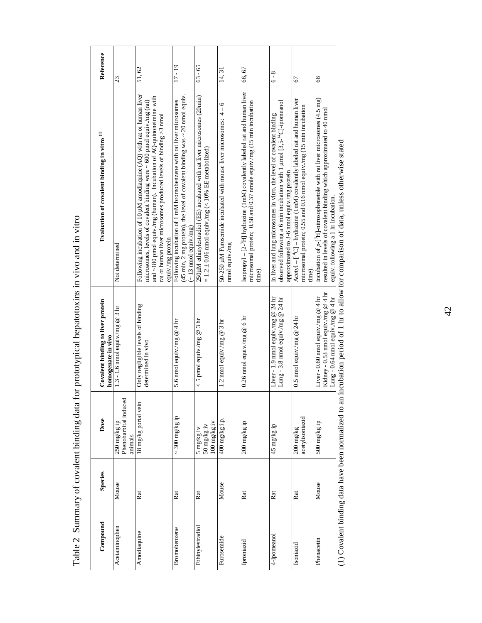| Compound         | <b>Species</b> | Dose                                             | Covalent binding to liver protein<br>homogenate in vivo                                                          | Evaluation of covalent binding in vitro <sup>(1)</sup>                                                                                                                                                                                                                                                                   | Reference |
|------------------|----------------|--------------------------------------------------|------------------------------------------------------------------------------------------------------------------|--------------------------------------------------------------------------------------------------------------------------------------------------------------------------------------------------------------------------------------------------------------------------------------------------------------------------|-----------|
| Acetaminophen    | Mouse          | Phenobarbital induced<br>250 mg/kg ip<br>animals | 1.3 - 1.6 nmol equiv./mg @ 3 hr                                                                                  | Not determined                                                                                                                                                                                                                                                                                                           | 23        |
| Amodiaquine      | Rat            | 18 mg/kg portal vein                             | Only negligible levels of binding<br>determined in vivo                                                          | Following incubation of 10 µM amodiaquine (AQ) with rat or human liver<br>and $\sim$ 180 pmol equiv./mg (human). Incubation of AQ-quinoneimine with<br>microsomes, levels of covalent binding were ~ 600 pmol equiv./mg (rat)<br>rat or human liver microsomes produced levels of binding $>3$ nmol<br>equiv./mg protein | 51,62     |
| Bromobenzene     | Rat            | $\sim$ 300 mg/kg ip                              | 5.6 nmol equiv./mg $@$ 4 hr                                                                                      | (45 min, 2 mg protein), the level of covalent binding was $\sim$ 20 nmol equiv.<br>Following incubation of 1 mM bromobenzene with rat liver microsomes<br>$(-13 \text{ mod } \text{equiv} \cdot \text{mg})$                                                                                                              | 17 - 19   |
| Ethinylestradiol | Rat            | 100 mg/kg iv<br>50 mg/kg iv<br>5 mg/kg iv        | $<$ 5 pmol equiv./mg @ 3 hr                                                                                      | 250µM ethinylestradiol (EE) incubated with rat liver microsomes (20min)<br>$= 1.2 \pm 0.06$ nmol equiv./mg (< 10% EE metabolized)                                                                                                                                                                                        | $63 - 65$ |
| Furosemide       | Mouse          | 400 mg/kg i.p.                                   | 1.2 nmol equiv.mg @ 3 hr                                                                                         | 50-250 $\mu$ M Furosemide incubated with mouse liver microsomes: $4 - 6$<br>nmol equiv./mg                                                                                                                                                                                                                               | 14,31     |
| Iproniazid       | Rat            | 200 mg/kg ip                                     | 0.26 nmol equiv./mg @ 6 hr                                                                                       | Isopropyl – $[2^{-1}H]$ hydrazine (1 mM) covalently labeled rat and human liver<br>microsomal protein; 0.58 and 0.37 nmole equiv./mg (15 min incubation<br>time).                                                                                                                                                        | 66,67     |
| 4-Ipomeanol      | Rat            | d5 mg/kg ip                                      | Liver - 1.9 nmol equiv.mg @ 24 hr<br>Lung - 3.8 nmol equiv./mg @ 24 hr                                           | observed following a 6 min incubation with 1 $\mu$ mol [3,5- $\mu$ °C]-ipomeanol<br>In liver and lung microsomes in vitro, the level of covalent binding<br>approximated to 3-6 nmol equiv./mg protein                                                                                                                   | $6 - 8$   |
| Isoniazid        | Rat            | acetylisoniazid<br>$200 \text{ mg/kg}$           | 0.5 nmol equiv./mg @ $24 \text{ hr}$                                                                             | Acetyl - [ <sup>14</sup> C] - hydrazine (1mM) covalently labeled rat and human liver<br>microsomal protein; 0.55 and 0.16 nmol equiv./mg (15 min incubation<br>time).                                                                                                                                                    | 67        |
| Phenacetin       | Mouse          | 500 mg/kg ip                                     | Kidney - 0.53 nmol equiv./mg @ 4 hr<br>Lung - 0.64 nmol equiv./mg @ 4 hr<br>Liver - 0.60 nmol equiv./mg $@$ 4 hr | Incubation of $p$ -[ <sup>3</sup> H]-nitrosophenetole with rat liver microsomes (4.5 mg)<br>resulted in levels of covalent binding which approximated to 40 nmol<br>equiv. following a 1 hr incubation.                                                                                                                  | 68        |

Table 2 Summary of covalent binding data for prototypical hepatotoxins in vivo and in vitro Table 2 Summary of covalent binding data for prototypical hepatotoxins in vivo and in vitro

(1) Covalent binding data have been normalized to an incubation period of 1 hr to allow for comparison of data, unless otherwise stated (1) Covalent binding data have been normalized to an incubation period of 1 hr to all (1) Covalent binding data have been normalized to an incubation period of 1 hr to allow for comparison of data, unless otherwise stated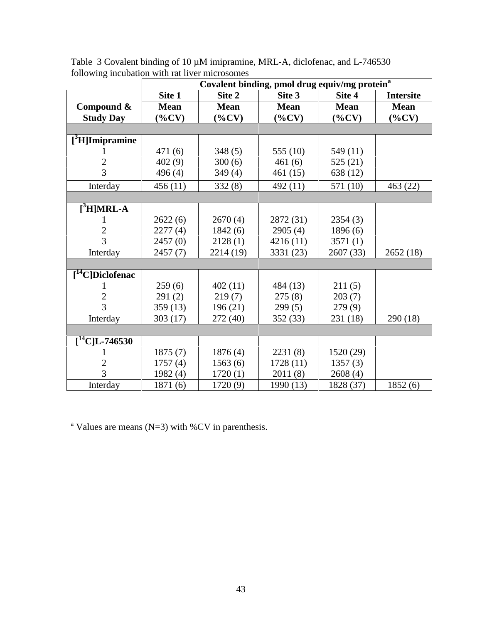|                                | Covalent binding, pmol drug equiv/mg protein <sup>a</sup> |             |             |             |                  |  |
|--------------------------------|-----------------------------------------------------------|-------------|-------------|-------------|------------------|--|
|                                | Site 1                                                    | Site 2      | Site 3      | Site 4      | <b>Intersite</b> |  |
| Compound &                     | <b>Mean</b>                                               | <b>Mean</b> | <b>Mean</b> | <b>Mean</b> | <b>Mean</b>      |  |
| <b>Study Day</b>               | $(\%CV)$                                                  | $(\%CV)$    | $(\%CV)$    | $(\%CV)$    | $(\%CV)$         |  |
|                                |                                                           |             |             |             |                  |  |
| $[$ <sup>3</sup> H]Imipramine  |                                                           |             |             |             |                  |  |
|                                | 471 (6)                                                   | 348(5)      | 555 $(10)$  | 549 (11)    |                  |  |
| 2                              | 402(9)                                                    | 300(6)      | 461(6)      | 525 (21)    |                  |  |
| 3                              | 496(4)                                                    | 349(4)      | 461(15)     | 638 (12)    |                  |  |
| Interday                       | 456(11)                                                   | 332(8)      | 492 (11)    | 571 (10)    | 463 (22)         |  |
|                                |                                                           |             |             |             |                  |  |
| $[3$ H]MRL-A                   |                                                           |             |             |             |                  |  |
|                                | 2622(6)                                                   | 2670(4)     | 2872 (31)   | 2354(3)     |                  |  |
| $\mathfrak{2}$                 | 2277(4)                                                   | 1842(6)     | 2905(4)     | 1896(6)     |                  |  |
| 3                              | 2457(0)                                                   | 2128(1)     | 4216 (11)   | 3571(1)     |                  |  |
| Interday                       | 2457(7)                                                   | 2214 (19)   | 3331 (23)   | 2607 (33)   | 2652(18)         |  |
|                                |                                                           |             |             |             |                  |  |
| $[$ <sup>14</sup> C]Diclofenac |                                                           |             |             |             |                  |  |
|                                | 259(6)                                                    | 402(11)     | 484 (13)    | 211(5)      |                  |  |
| 2                              | 291(2)                                                    | 219(7)      | 275(8)      | 203(7)      |                  |  |
| 3                              | 359(13)                                                   | 196(21)     | 299(5)      | 279(9)      |                  |  |
| Interday                       | 303(17)                                                   | 272(40)     | 352 (33)    | 231 (18)    | 290 (18)         |  |
|                                |                                                           |             |             |             |                  |  |
| $[^{14}C]L$ -746530            |                                                           |             |             |             |                  |  |
|                                | 1875(7)                                                   | 1876(4)     | 2231(8)     | 1520 (29)   |                  |  |
| 2                              | 1757(4)                                                   | 1563(6)     | 1728 (11)   | 1357(3)     |                  |  |
| 3                              | 1982(4)                                                   | 1720(1)     | 2011(8)     | 2608(4)     |                  |  |
| Interday                       | 1871(6)                                                   | 1720(9)     | 1990 (13)   | 1828 (37)   | 1852(6)          |  |

Table 3 Covalent binding of 10  $\mu$ M imipramine, MRL-A, diclofenac, and L-746530 following incubation with rat liver microsomes

<sup>a</sup> Values are means (N=3) with %CV in parenthesis.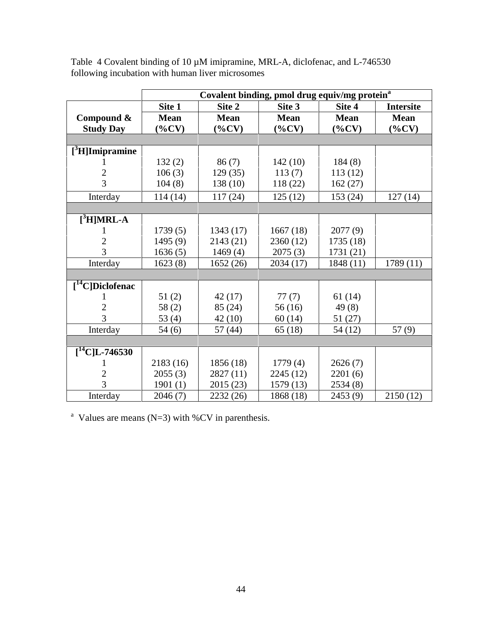|                       | Covalent binding, pmol drug equiv/mg protein <sup>a</sup> |             |             |             |                  |
|-----------------------|-----------------------------------------------------------|-------------|-------------|-------------|------------------|
|                       | Site 1                                                    | Site 2      | Site 3      | Site 4      | <b>Intersite</b> |
| Compound &            | <b>Mean</b>                                               | <b>Mean</b> | <b>Mean</b> | <b>Mean</b> | <b>Mean</b>      |
| <b>Study Day</b>      | $(\%CV)$                                                  | $(\%CV)$    | $(\%CV)$    | $(\%CV)$    | $(\%CV)$         |
|                       |                                                           |             |             |             |                  |
| $[^3$ H]Imipramine    |                                                           |             |             |             |                  |
|                       | 132(2)                                                    | 86(7)       | 142(10)     | 184(8)      |                  |
| $\overline{2}$        | 106(3)                                                    | 129(35)     | 113(7)      | 113(12)     |                  |
| 3                     | 104(8)                                                    | 138(10)     | 118(22)     | 162(27)     |                  |
| Interday              | 114(14)                                                   | 117(24)     | 125(12)     | 153(24)     | 127(14)          |
|                       |                                                           |             |             |             |                  |
| $[3H] MRL-A$          |                                                           |             |             |             |                  |
|                       | 1739(5)                                                   | 1343 (17)   | 1667(18)    | 2077(9)     |                  |
| $\mathfrak{2}$        | 1495(9)                                                   | 2143 (21)   | 2360 (12)   | 1735 (18)   |                  |
| 3                     | 1636(5)                                                   | 1469(4)     | 2075(3)     | 1731 (21)   |                  |
| Interday              | 1623(8)                                                   | 1652(26)    | 2034 (17)   | 1848 (11)   | 1789 (11)        |
|                       |                                                           |             |             |             |                  |
| $[^{14}C]$ Diclofenac |                                                           |             |             |             |                  |
|                       | 51(2)                                                     | 42(17)      | 77(7)       | 61(14)      |                  |
| 2                     | 58(2)                                                     | 85 (24)     | 56(16)      | 49(8)       |                  |
| 3                     | 53 $(4)$                                                  | 42 (10)     | 60(14)      | 51(27)      |                  |
| Interday              | 54(6)                                                     | 57(44)      | 65(18)      | 54(12)      | 57(9)            |
|                       |                                                           |             |             |             |                  |
| $[^{14}C]L-746530$    |                                                           |             |             |             |                  |
|                       | 2183(16)                                                  | 1856(18)    | 1779(4)     | 2626(7)     |                  |
| 2                     | 2055(3)                                                   | 2827 (11)   | 2245 (12)   | 2201(6)     |                  |
| 3                     | 1901(1)                                                   | 2015 (23)   | 1579 (13)   | 2534(8)     |                  |
| Interday              | 2046(7)                                                   | 2232 (26)   | 1868 (18)   | 2453 (9)    | 2150(12)         |

Table 4 Covalent binding of 10  $\mu$ M imipramine, MRL-A, diclofenac, and L-746530 following incubation with human liver microsomes

<sup>a</sup> Values are means (N=3) with %CV in parenthesis.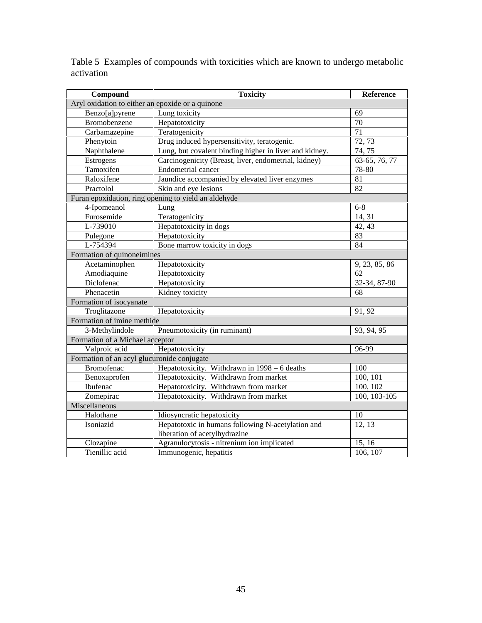| Compound                                         | <b>Toxicity</b><br>Reference                           |                  |  |  |
|--------------------------------------------------|--------------------------------------------------------|------------------|--|--|
| Aryl oxidation to either an epoxide or a quinone |                                                        |                  |  |  |
| Benzo[a]pyrene                                   | Lung toxicity                                          | 69               |  |  |
| Bromobenzene                                     | Hepatotoxicity                                         | $\overline{70}$  |  |  |
| Carbamazepine                                    | Teratogenicity                                         | 71               |  |  |
| Phenytoin                                        | Drug induced hypersensitivity, teratogenic.            | 72, 73           |  |  |
| Naphthalene                                      | Lung, but covalent binding higher in liver and kidney. | 74,75            |  |  |
| Estrogens                                        | Carcinogenicity (Breast, liver, endometrial, kidney)   | 63-65, 76, 77    |  |  |
| Tamoxifen                                        | Endometrial cancer                                     | 78-80            |  |  |
| Raloxifene                                       | Jaundice accompanied by elevated liver enzymes         | 81               |  |  |
| Practolol                                        | Skin and eye lesions                                   | 82               |  |  |
|                                                  | Furan epoxidation, ring opening to yield an aldehyde   |                  |  |  |
| 4-Ipomeanol                                      | Lung                                                   | $6 - 8$          |  |  |
| Furosemide                                       | Teratogenicity                                         | 14, 31           |  |  |
| L-739010                                         | Hepatotoxicity in dogs                                 | 42, 43           |  |  |
| Pulegone                                         | Hepatotoxicity                                         | 83               |  |  |
| L-754394                                         | Bone marrow toxicity in dogs                           | 84               |  |  |
| Formation of quinoneimines                       |                                                        |                  |  |  |
| Acetaminophen                                    | Hepatotoxicity                                         | 9, 23, 85, 86    |  |  |
| Amodiaquine                                      | Hepatotoxicity                                         | 62               |  |  |
| Diclofenac                                       | Hepatotoxicity                                         | 32-34, 87-90     |  |  |
| Phenacetin                                       | Kidney toxicity                                        | 68               |  |  |
| Formation of isocyanate                          |                                                        |                  |  |  |
| Troglitazone                                     | Hepatotoxicity                                         | 91, 92           |  |  |
| Formation of imine methide                       |                                                        |                  |  |  |
| 3-Methylindole                                   | Pneumotoxicity (in ruminant)                           | 93, 94, 95       |  |  |
| Formation of a Michael acceptor                  |                                                        |                  |  |  |
| Valproic acid                                    | Hepatotoxicity                                         | 96-99            |  |  |
| Formation of an acyl glucuronide conjugate       |                                                        |                  |  |  |
| Bromofenac                                       | Hepatotoxicity. Withdrawn in 1998 - 6 deaths           | 100              |  |  |
| Benoxaprofen                                     | Hepatotoxicity. Withdrawn from market                  | 100, 101         |  |  |
| Ibufenac                                         | Hepatotoxicity. Withdrawn from market                  | 100, 102         |  |  |
| Zomepirac                                        | Hepatotoxicity. Withdrawn from market                  | $100, 103 - 105$ |  |  |
| Miscellaneous                                    |                                                        |                  |  |  |
| Halothane                                        | Idiosyncratic hepatoxicity                             | 10               |  |  |
| Isoniazid                                        | Hepatotoxic in humans following N-acetylation and      | 12, 13           |  |  |
|                                                  | liberation of acetylhydrazine                          |                  |  |  |
| Clozapine                                        | Agranulocytosis - nitrenium ion implicated             | 15, 16           |  |  |
| Tienillic acid                                   | Immunogenic, hepatitis                                 | 106, 107         |  |  |

Table 5 Examples of compounds with toxicities which are known to undergo metabolic activation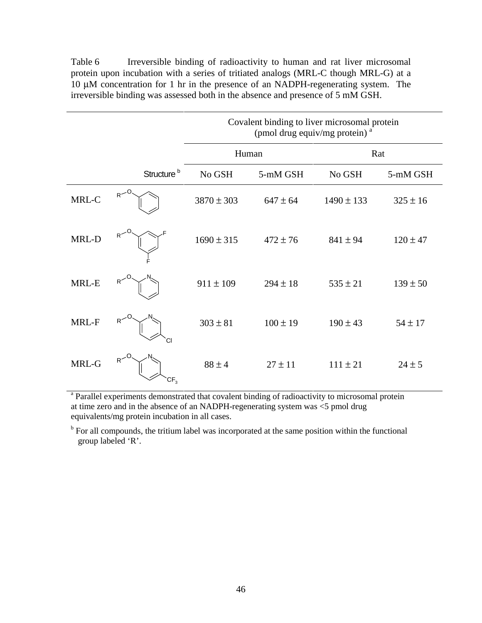Table 6 Irreversible binding of radioactivity to human and rat liver microsomal protein upon incubation with a series of tritiated analogs (MRL-C though MRL-G) at a 10 µM concentration for 1 hr in the presence of an NADPH-regenerating system. The irreversible binding was assessed both in the absence and presence of 5 mM GSH.

|       |                                   | Covalent binding to liver microsomal protein<br>(pmol drug equiv/mg protein) <sup>a</sup> |              |                |              |
|-------|-----------------------------------|-------------------------------------------------------------------------------------------|--------------|----------------|--------------|
|       |                                   |                                                                                           | Human        | Rat            |              |
|       | Structure <sup>b</sup>            | No GSH                                                                                    | 5-mM GSH     | No GSH         | 5-mM GSH     |
| MRL-C | $R$ <sup>-0</sup>                 | $3870 \pm 303$                                                                            | $647 \pm 64$ | $1490 \pm 133$ | $325 \pm 16$ |
| MRL-D | R <sup>2</sup>                    | $1690 \pm 315$                                                                            | $472 \pm 76$ | $841 \pm 94$   | $120 \pm 47$ |
| MRL-E | R <sup>2</sup>                    | $911 \pm 109$                                                                             | $294 \pm 18$ | $535 \pm 21$   | $139 \pm 50$ |
| MRL-F | R <sup>2</sup><br>CI.             | $303 \pm 81$                                                                              | $100 \pm 19$ | $190 \pm 43$   | $54 \pm 17$  |
| MRL-G | R <sup>2</sup><br>CF <sub>3</sub> | $88 \pm 4$                                                                                | $27 \pm 11$  | $111 \pm 21$   | $24 \pm 5$   |

<sup>a</sup> Parallel experiments demonstrated that covalent binding of radioactivity to microsomal protein at time zero and in the absence of an NADPH-regenerating system was <5 pmol drug equivalents/mg protein incubation in all cases.

<sup>b</sup> For all compounds, the tritium label was incorporated at the same position within the functional group labeled 'R'.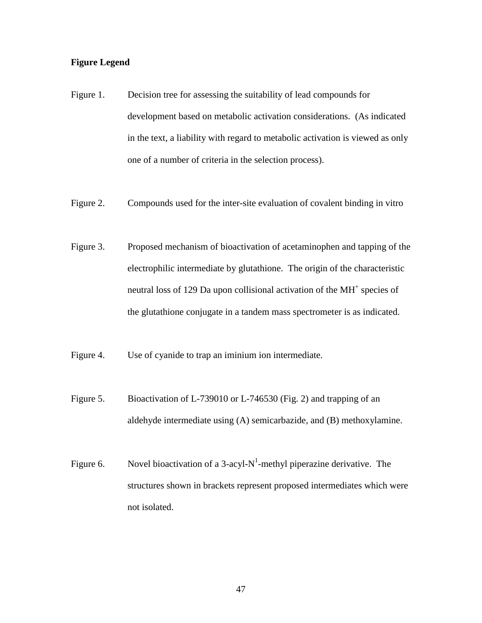# **Figure Legend**

- Figure 1. Decision tree for assessing the suitability of lead compounds for development based on metabolic activation considerations. (As indicated in the text, a liability with regard to metabolic activation is viewed as only one of a number of criteria in the selection process).
- Figure 2. Compounds used for the inter-site evaluation of covalent binding in vitro
- Figure 3. Proposed mechanism of bioactivation of acetaminophen and tapping of the electrophilic intermediate by glutathione. The origin of the characteristic neutral loss of 129 Da upon collisional activation of the MH<sup>+</sup> species of the glutathione conjugate in a tandem mass spectrometer is as indicated.
- Figure 4. Use of cyanide to trap an iminium ion intermediate.
- Figure 5. Bioactivation of L-739010 or L-746530 (Fig. 2) and trapping of an aldehyde intermediate using (A) semicarbazide, and (B) methoxylamine.
- Figure 6. Novel bioactivation of a 3-acyl- $N^1$ -methyl piperazine derivative. The structures shown in brackets represent proposed intermediates which were not isolated.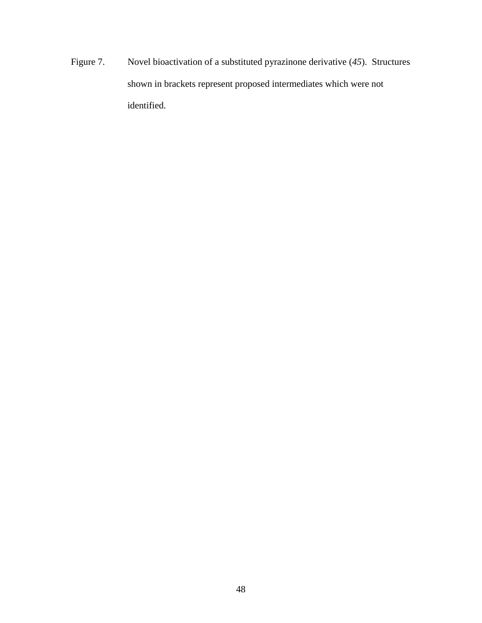Figure 7. Novel bioactivation of a substituted pyrazinone derivative (*45*). Structures shown in brackets represent proposed intermediates which were not identified.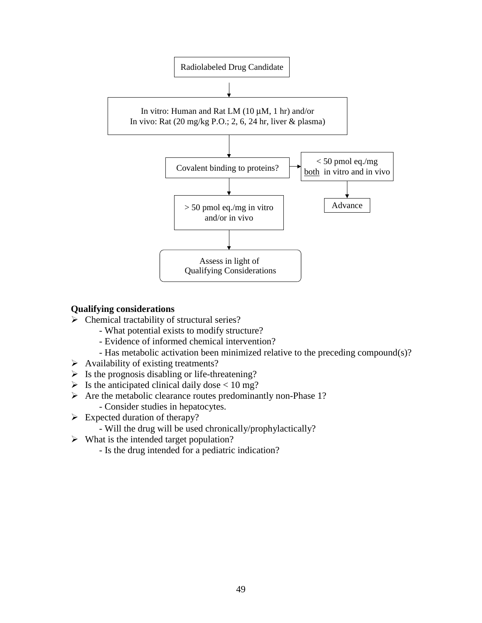

# **Qualifying considerations**

- $\triangleright$  Chemical tractability of structural series?
	- What potential exists to modify structure?
	- Evidence of informed chemical intervention?
	- Has metabolic activation been minimized relative to the preceding compound(s)?
- $\triangleright$  Availability of existing treatments?
- $\triangleright$  Is the prognosis disabling or life-threatening?
- $\triangleright$  Is the anticipated clinical daily dose < 10 mg?
- $\triangleright$  Are the metabolic clearance routes predominantly non-Phase 1? - Consider studies in hepatocytes.
- $\triangleright$  Expected duration of therapy?
	- Will the drug will be used chronically/prophylactically?
- $\triangleright$  What is the intended target population?
	- Is the drug intended for a pediatric indication?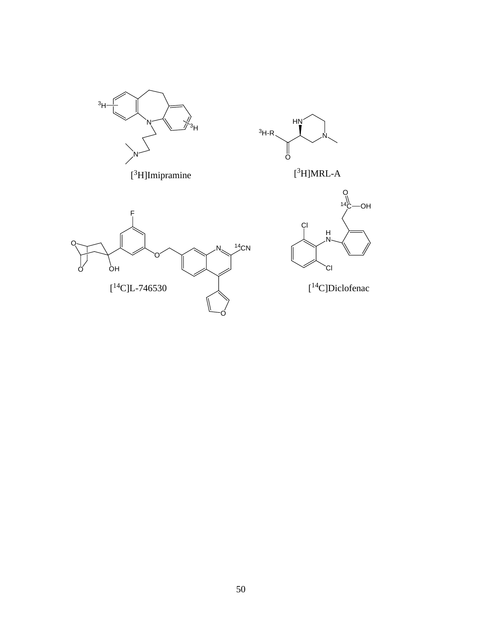



[ 3 H]MRL-A





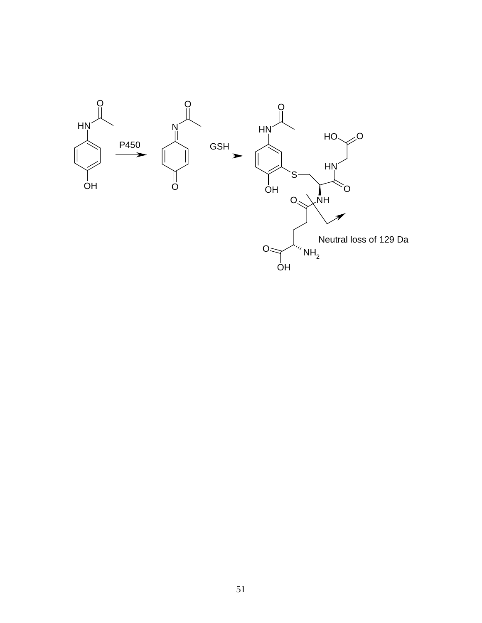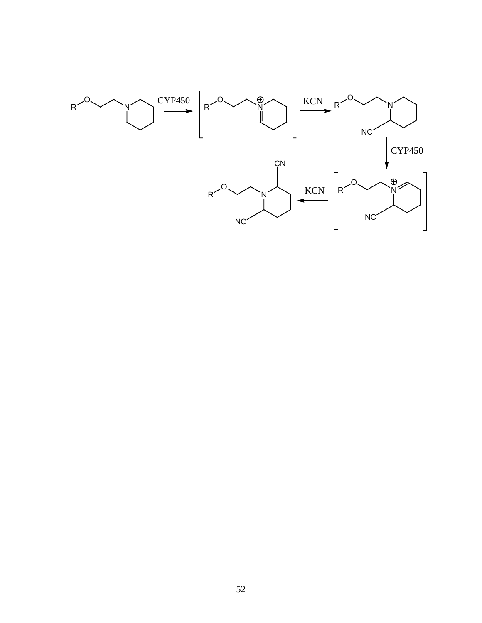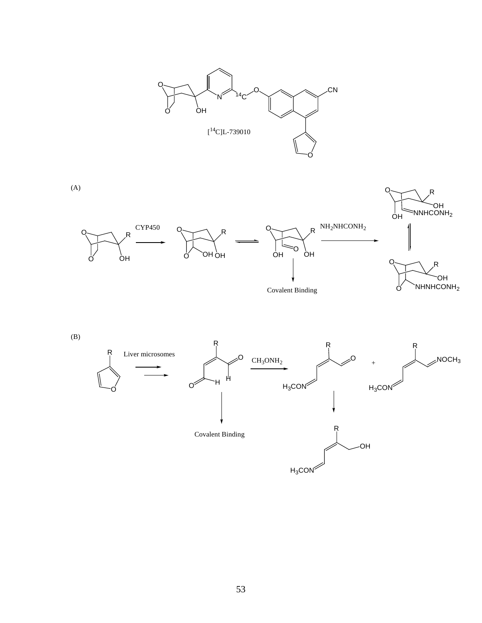





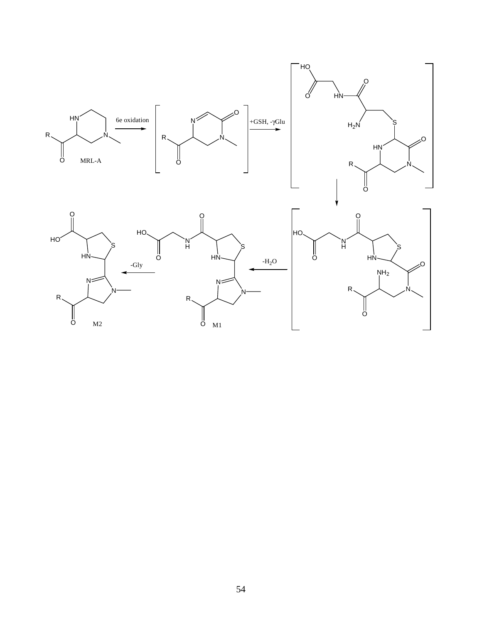